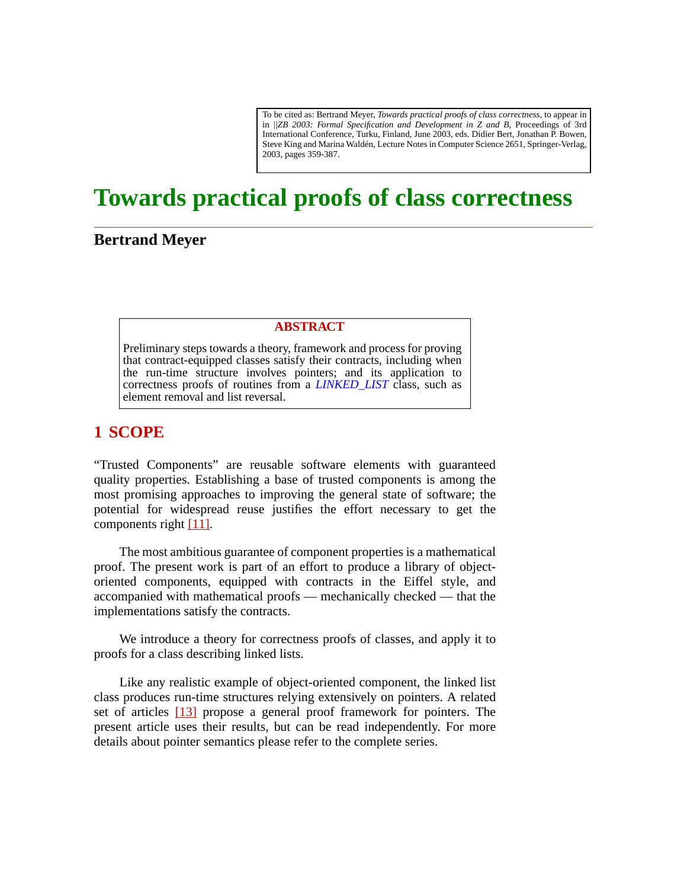To be cited as: Bertrand Meyer, *Towards practical proofs of class correctness*, to appear in in |*|ZB 2003: Formal Specification and Development in Z and B*, Proceedings of 3rd International Conference, Turku, Finland, June 2003, eds. Didier Bert, Jonathan P. Bowen, Steve King and Marina Waldén, Lecture Notes in Computer Science 2651, Springer-Verlag, 2003, pages 359-387.

# **Towards practical proofs of class correctness**

### **Bertrand Meyer**

#### **ABSTRACT**

Preliminary steps towards a theory, framework and process for proving that contract-equipped classes satisfy their contracts, including when the run-time structure involves pointers; and its application to correctness proofs of routines from a *LINKED\_LIST* class, such as element removal and list reversal.

# **1 SCOPE**

"Trusted Components" are reusable software elements with guaranteed quality properties. Establishing a base of trusted components is among the most promising approaches to improving the general state of software; the potential for widespread reuse justifies the effort necessary to get the components right [\[11\].](#page-32-0)

The most ambitious guarantee of component properties is a mathematical proof. The present work is part of an effort to produce a library of objectoriented components, equipped with contracts in the Eiffel style, and accompanied with mathematical proofs — mechanically checked — that the implementations satisfy the contracts.

We introduce a theory for correctness proofs of classes, and apply it to proofs for a class describing linked lists.

Like any realistic example of object-oriented component, the linked list class produces run-time structures relying extensively on pointers. A related set of articles [\[13\]](#page-32-1) propose a general proof framework for pointers. The present article uses their results, but can be read independently. For more details about pointer semantics please refer to the complete series.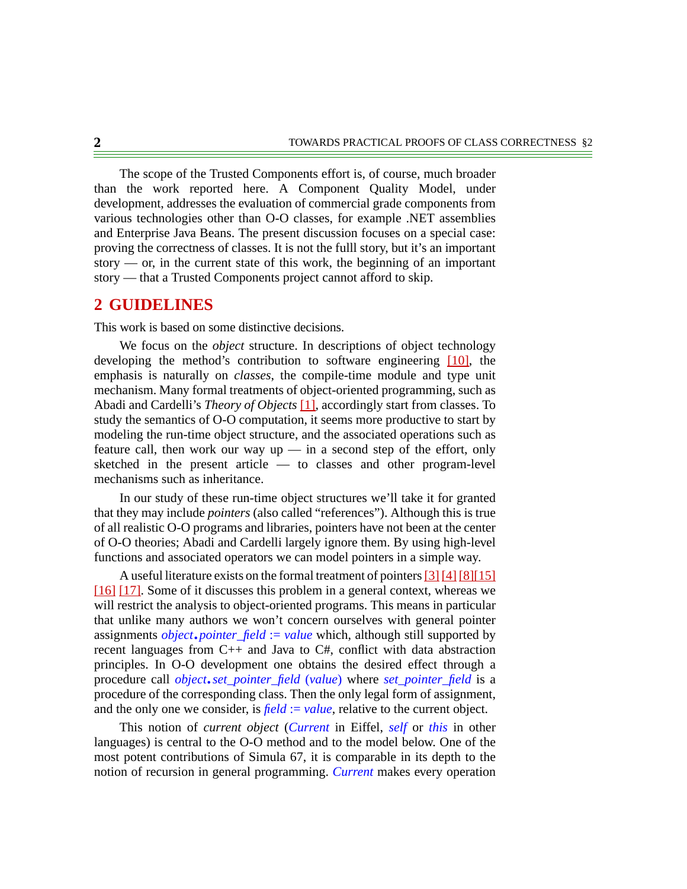The scope of the Trusted Components effort is, of course, much broader than the work reported here. A Component Quality Model, under development, addresses the evaluation of commercial grade components from various technologies other than O-O classes, for example .NET assemblies and Enterprise Java Beans. The present discussion focuses on a special case: proving the correctness of classes. It is not the fulll story, but it's an important story — or, in the current state of this work, the beginning of an important story — that a Trusted Components project cannot afford to skip.

#### <span id="page-1-0"></span>**2 GUIDELINES**

This work is based on some distinctive decisions.

We focus on the *object* structure. In descriptions of object technology developing the method's contribution to software engineering  $[10]$ , the emphasis is naturally on *classes*, the compile-time module and type unit mechanism. Many formal treatments of object-oriented programming, such as Abadi and Cardelli's *Theory of Objects* [\[1\]](#page-31-0), accordingly start from classes. To study the semantics of O-O computation, it seems more productive to start by modeling the run-time object structure, and the associated operations such as feature call, then work our way  $up$  — in a second step of the effort, only sketched in the present article — to classes and other program-level mechanisms such as inheritance.

In our study of these run-time object structures we'll take it for granted that they may include *pointers* (also called "references"). Although this is true of all realistic O-O programs and libraries, pointers have not been at the center of O-O theories; Abadi and Cardelli largely ignore them. By using high-level functions and associated operators we can model pointers in a simple way.

A useful literature exists on the formal treatment of pointers [\[3\]](#page-31-1) [\[4\]](#page-31-2) [\[8\]](#page-31-3)[\[15\]](#page-32-3) [\[16\]](#page-32-4) [\[17\].](#page-32-5) Some of it discusses this problem in a general context, whereas we will restrict the analysis to object-oriented programs. This means in particular that unlike many authors we won't concern ourselves with general pointer assignments *object*.*pointer\_field* := *value* which, although still supported by recent languages from C++ and Java to C#, conflict with data abstraction principles. In O-O development one obtains the desired effect through a procedure call *object*.*set\_pointer\_field* (*value*) where *set\_pointer\_field* is a procedure of the corresponding class. Then the only legal form of assignment, and the only one we consider, is  $field := value$ , relative to the current object.

This notion of *current object* (*Current* in Eiffel, *self* or *this* in other languages) is central to the O-O method and to the model below. One of the most potent contributions of Simula 67, it is comparable in its depth to the notion of recursion in general programming. *Current* makes every operation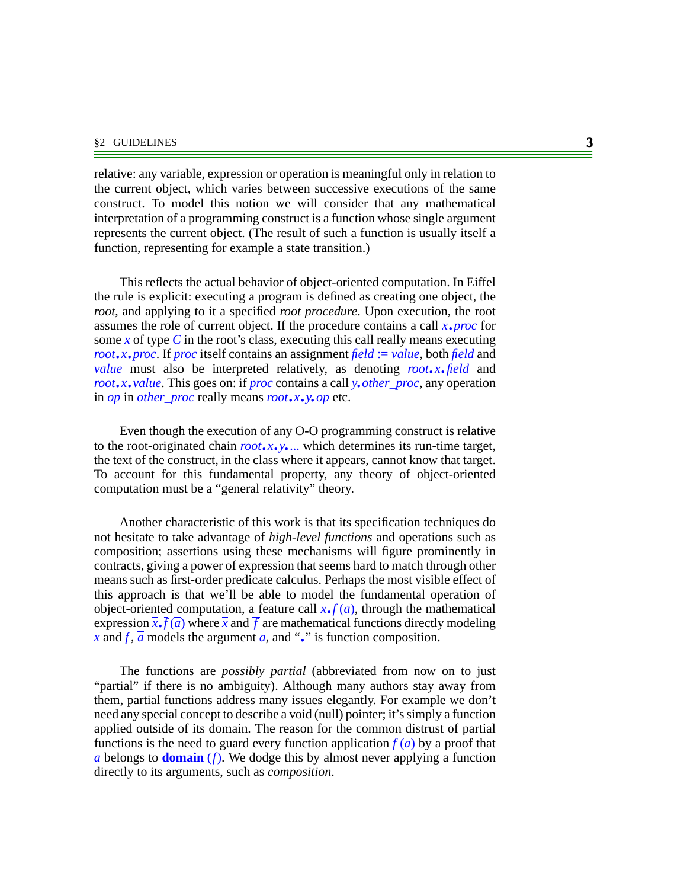relative: any variable, expression or operation is meaningful only in relation to the current object, which varies between successive executions of the same construct. To model this notion we will consider that any mathematical interpretation of a programming construct is a function whose single argument represents the current object. (The result of such a function is usually itself a function, representing for example a state transition.)

This reflects the actual behavior of object-oriented computation. In Eiffel the rule is explicit: executing a program is defined as creating one object, the *root*, and applying to it a specified *root procedure*. Upon execution, the root assumes the role of current object. If the procedure contains a call *<sup>x</sup>*.*proc* for some  $\bar{x}$  of type  $\bar{C}$  in the root's class, executing this call really means executing *root*.*x*.*proc*. If *proc* itself contains an assignment *field* := *value*, both *field* and *value* must also be interpreted relatively, as denoting *root*.*x*.*field* and *root*.*x*.*value*. This goes on: if *proc* contains a call *<sup>y</sup>*.*other\_proc*, any operation in *op* in *other\_proc* really means *root*.*x*.*y*.*op* etc.

Even though the execution of any O-O programming construct is relative to the root-originated chain *root*.*x*.*y*.... which determines its run-time target, the text of the construct, in the class where it appears, cannot know that target. To account for this fundamental property, any theory of object-oriented computation must be a "general relativity" theory.

Another characteristic of this work is that its specification techniques do not hesitate to take advantage of *high-level functions* and operations such as composition; assertions using these mechanisms will figure prominently in contracts, giving a power of expression that seems hard to match through other means such as first-order predicate calculus. Perhaps the most visible effect of this approach is that we'll be able to model the fundamental operation of object-oriented computation, a feature call  $x \cdot f(a)$ , through the mathematical expression  $\overline{x} \cdot \overline{f}(\overline{a})$  where  $\overline{x}$  and  $\overline{f}$  are mathematical functions directly modeling *x* and *f*,  $\overline{a}$  models the argument *a*, and "." is function composition.

The functions are *possibly partial* (abbreviated from now on to just "partial" if there is no ambiguity). Although many authors stay away from them, partial functions address many issues elegantly. For example we don't need any special concept to describe a void (null) pointer; it's simply a function applied outside of its domain. The reason for the common distrust of partial functions is the need to guard every function application  $f(a)$  by a proof that *a* belongs to **domain** (*f*). We dodge this by almost never applying a function directly to its arguments, such as *composition*.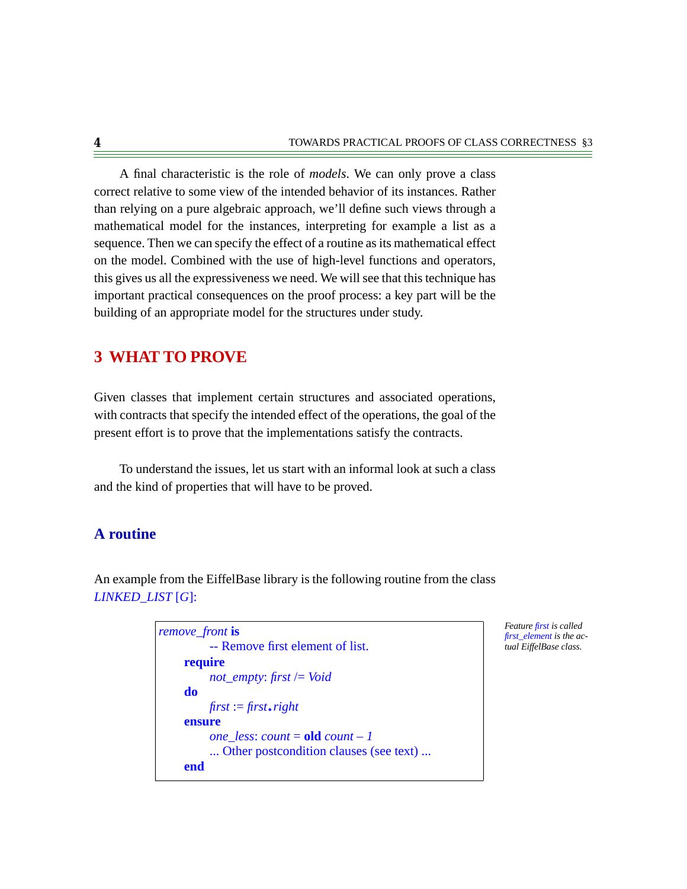A final characteristic is the role of *models*. We can only prove a class correct relative to some view of the intended behavior of its instances. Rather than relying on a pure algebraic approach, we'll define such views through a mathematical model for the instances, interpreting for example a list as a sequence. Then we can specify the effect of a routine as its mathematical effect on the model. Combined with the use of high-level functions and operators, this gives us all the expressiveness we need. We will see that this technique has important practical consequences on the proof process: a key part will be the building of an appropriate model for the structures under study.

### **3 WHAT TO PROVE**

Given classes that implement certain structures and associated operations, with contracts that specify the intended effect of the operations, the goal of the present effort is to prove that the implementations satisfy the contracts.

To understand the issues, let us start with an informal look at such a class and the kind of properties that will have to be proved.

#### **A routine**

An example from the EiffelBase library is the following routine from the class *LINKED\_LIST* [*G*]:

```
remove_front is
          -- Remove first element of list.
     require
          not_empty: first /= Void
     do
         first := first.right
     ensure
          one_less: count = old count – 1
          ... Other postcondition clauses (see text) ...
     end
```
*Feature first is called first\_element is the actual EiffelBase class*.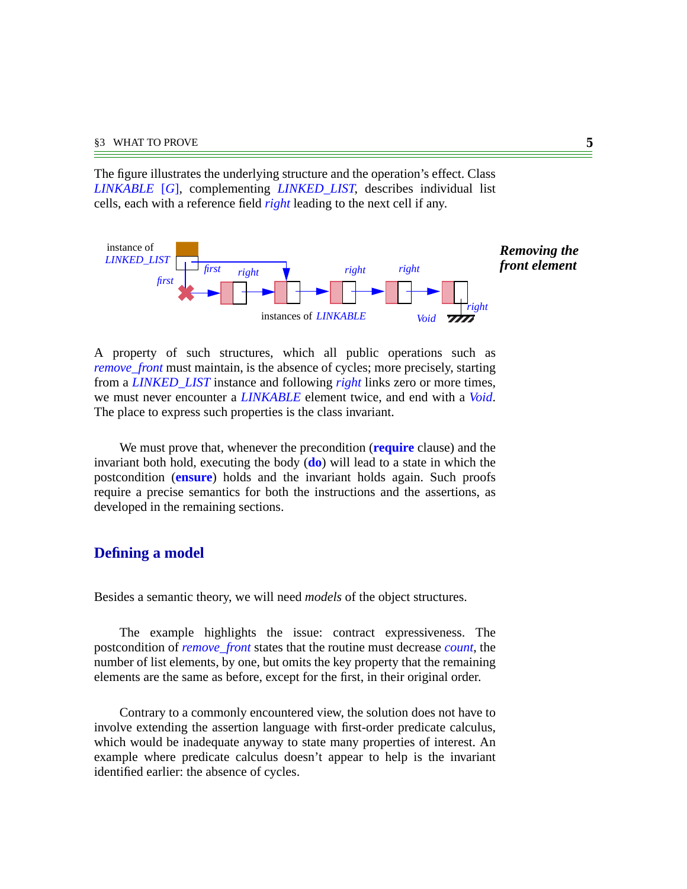The figure illustrates the underlying structure and the operation's effect. Class *LINKABLE* [*G*], complementing *LINKED\_LIST*, describes individual list cells, each with a reference field *right* leading to the next cell if any.



A property of such structures, which all public operations such as *remove front* must maintain, is the absence of cycles; more precisely, starting from a *LINKED\_LIST* instance and following *right* links zero or more times, we must never encounter a *LINKABLE* element twice, and end with a *Void*. The place to express such properties is the class invariant.

We must prove that, whenever the precondition (**require** clause) and the invariant both hold, executing the body (**do**) will lead to a state in which the postcondition (**ensure**) holds and the invariant holds again. Such proofs require a precise semantics for both the instructions and the assertions, as developed in the remaining sections.

#### **Defining a model**

Besides a semantic theory, we will need *models* of the object structures.

The example highlights the issue: contract expressiveness. The postcondition of *remove\_front* states that the routine must decrease *count*, the number of list elements, by one, but omits the key property that the remaining elements are the same as before, except for the first, in their original order.

Contrary to a commonly encountered view, the solution does not have to involve extending the assertion language with first-order predicate calculus, which would be inadequate anyway to state many properties of interest. An example where predicate calculus doesn't appear to help is the invariant identified earlier: the absence of cycles.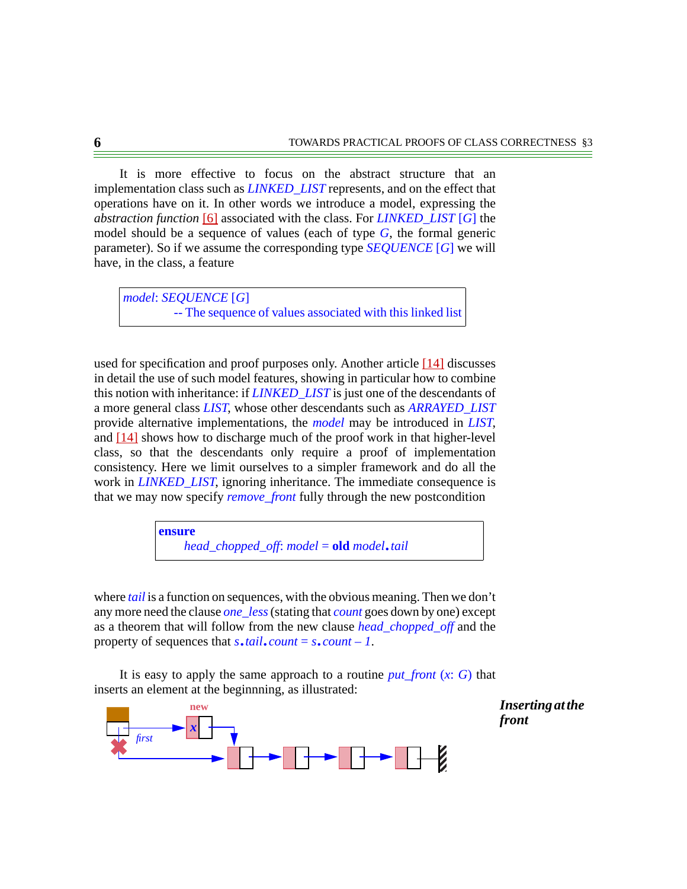It is more effective to focus on the abstract structure that an implementation class such as *LINKED\_LIST* represents, and on the effect that operations have on it. In other words we introduce a model, expressing the *abstraction function* [\[6\]](#page-31-4) associated with the class. For *LINKED\_LIST* [*G*] the model should be a sequence of values (each of type *G*, the formal generic parameter). So if we assume the corresponding type *SEQUENCE* [*G*] we will have, in the class, a feature

*model*: *SEQUENCE* [*G*] -- The sequence of values associated with this linked list

used for specification and proof purposes only. Another article [\[14\]](#page-32-6) discusses in detail the use of such model features, showing in particular how to combine this notion with inheritance: if *LINKED\_LIST* is just one of the descendants of a more general class *LIST*, whose other descendants such as *ARRAYED\_LIST* provide alternative implementations, the *model* may be introduced in *LIST*, and [\[14\]](#page-32-6) shows how to discharge much of the proof work in that higher-level class, so that the descendants only require a proof of implementation consistency. Here we limit ourselves to a simpler framework and do all the work in *LINKED LIST*, ignoring inheritance. The immediate consequence is that we may now specify *remove\_front* fully through the new postcondition

> <span id="page-5-0"></span>**ensure** *head\_chopped\_off*: *model* <sup>=</sup> **old** *model*.*tail*

where *tail* is a function on sequences, with the obvious meaning. Then we don't any more need the clause *one\_less*(stating that *count* goes down by one) except as a theorem that will follow from the new clause *head\_chopped\_off* and the property of sequences that *<sup>s</sup>*.*tail*.*count* <sup>=</sup> *<sup>s</sup>*.*count – 1*.

It is easy to apply the same approach to a routine *put\_front* (*x*: *G*) that inserts an element at the beginnning, as illustrated:



*Inserting at the front*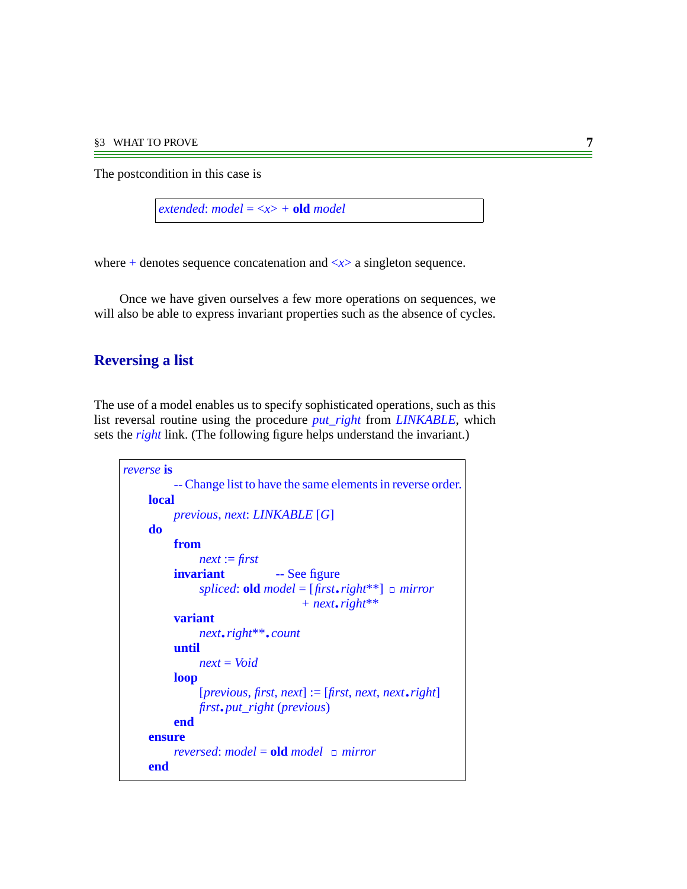The postcondition in this case is

 $extended: model =  $\langle x \rangle$  + **old** model$ 

where  $+$  denotes sequence concatenation and  $\langle x \rangle$  a singleton sequence.

Once we have given ourselves a few more operations on sequences, we will also be able to express invariant properties such as the absence of cycles.

#### **Reversing a list**

The use of a model enables us to specify sophisticated operations, such as this list reversal routine using the procedure *put\_right* from *LINKABLE*, which sets the *right* link. (The following figure helps understand the invariant.)

```
reverse is
         -- Change list to have the same elements in reverse order.
    local
         previous, next: LINKABLE [G]
    do
         from
              next := first
         invariant -- See figure
              spliced: old model = [first.right**] mirror
                                 + next.right**
         variant
              next.right**.count
         until
              next = Void
         loop
              [previous, first, next] := [first, next, next.right]
             first.put_right (previous)
         end
    ensure
         reversed: model = old model mirror
    end
```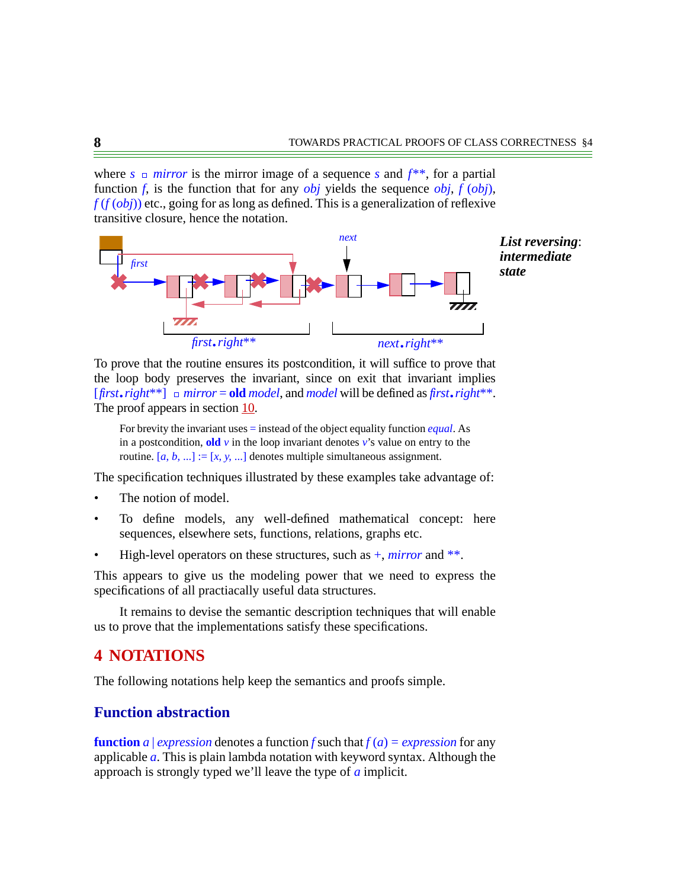where  $s = mirror$  is the mirror image of a sequence *s* and  $f^{**}$ , for a partial function *f*, is the function that for any *obj* yields the sequence *obj*,  $f$  (*obj*), *f* (*f* (*obj*)) etc., going for as long as defined. This is a generalization of reflexive transitive closure, hence the notation.



*List reversing*: *intermediate state*

To prove that the routine ensures its postcondition, it will suffice to prove that the loop body preserves the invariant, since on exit that invariant implies  $[first, right^{**}]$   $\Box$   $mirror = old \text{ model}$ , and *model* will be defined as *first*. *right*\*\*. The proof appears in section [10.](#page-26-0)

For brevity the invariant uses = instead of the object equality function *equal*. As in a postcondition, old  $\nu$  in the loop invariant denotes  $\nu$ 's value on entry to the routine.  $[a, b, ...] := [x, y, ...]$  denotes multiple simultaneous assignment.

The specification techniques illustrated by these examples take advantage of:

- The notion of model.
- To define models, any well-defined mathematical concept: here sequences, elsewhere sets, functions, relations, graphs etc.
- High-level operators on these structures, such as +, *mirror* and \*\*.

This appears to give us the modeling power that we need to express the specifications of all practiacally useful data structures.

It remains to devise the semantic description techniques that will enable us to prove that the implementations satisfy these specifications.

# <span id="page-7-0"></span>**4 NOTATIONS**

The following notations help keep the semantics and proofs simple.

# **Function abstraction**

**function** *a* | *expression* denotes a function *f* such that  $f(a) =$  *expression* for any applicable *a*. This is plain lambda notation with keyword syntax. Although the approach is strongly typed we'll leave the type of *a* implicit.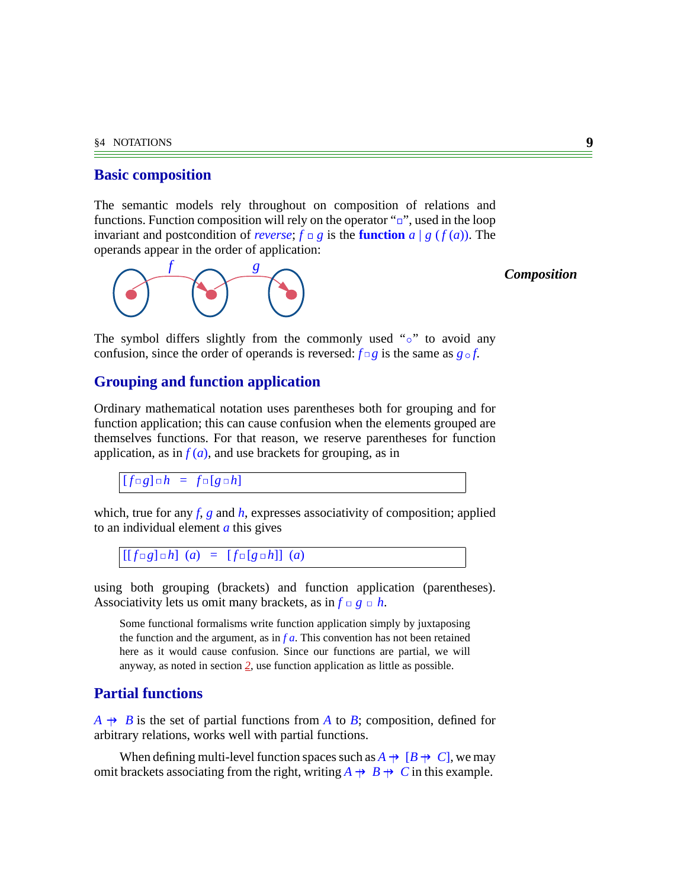#### **Basic composition**

The semantic models rely throughout on composition of relations and functions. Function composition will rely on the operator " $\Box$ ", used in the loop invariant and postcondition of *reverse*;  $f \circ g$  is the **function**  $a \mid g(f(a))$ . The operands appear in the order of application:

$$
\bigodot \bigodot \bigodot \bigodot \bigodot
$$
 *Composition*

The symbol differs slightly from the commonly used " $\circ$ " to avoid any confusion, since the order of operands is reversed:  $f \circ g$  is the same as  $g \circ f$ .

#### **Grouping and function application**

Ordinary mathematical notation uses parentheses both for grouping and for function application; this can cause confusion when the elements grouped are themselves functions. For that reason, we reserve parentheses for function application, as in  $f(a)$ , and use brackets for grouping, as in

 $[f \Box g] \Box h = f \Box [g \Box h]$ 

which, true for any *f*, *g* and *h*, expresses associativity of composition; applied to an individual element *a* this gives

 $[ [f \Box g] \Box h] (a) = [f \Box [g \Box h]] (a)$ 

using both grouping (brackets) and function application (parentheses). Associativity lets us omit many brackets, as in  $f \circ g \circ h$ .

Some functional formalisms write function application simply by juxtaposing the function and the argument, as in  $fa$ . This convention has not been retained here as it would cause confusion. Since our functions are partial, we will anyway, as noted in section *[2](#page-1-0)*, use function application as little as possible.

#### **Partial functions**

 $A \rightarrow B$  is the set of partial functions from *A* to *B*; composition, defined for arbitrary relations, works well with partial functions.

When defining multi-level function spaces such as  $A \rightarrow [B \rightarrow C]$ , we may omit brackets associating from the right, writing  $A \rightarrow B \rightarrow C$  in this example.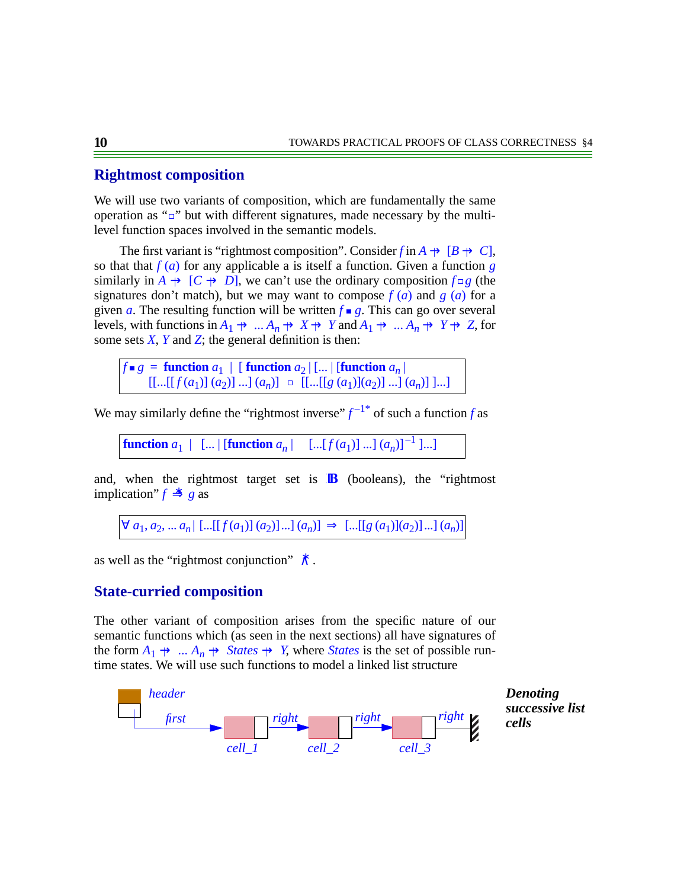#### **Rightmost composition**

We will use two variants of composition, which are fundamentally the same operation as " $\Box$ " but with different signatures, made necessary by the multilevel function spaces involved in the semantic models.

The first variant is "rightmost composition". Consider  $f$  in  $A \rightarrow [B \rightarrow C]$ , so that that  $f(a)$  for any applicable a is itself a function. Given a function  $g$ similarly in  $A \rightarrow [C \rightarrow D]$ , we can't use the ordinary composition  $f \square g$  (the signatures don't match), but we may want to compose  $f(a)$  and  $g(a)$  for a given *a*. The resulting function will be written  $f \cdot g$ . This can go over several levels, with functions in  $A_1 \rightarrow ... A_n \rightarrow X \rightarrow Y$  and  $A_1 \rightarrow ... A_n \rightarrow Y \rightarrow Z$ , for some sets *X*, *Y* and *Z*; the general definition is then:

<span id="page-9-0"></span> $f \cdot g =$  **function**  $a_1$  | [ **function**  $a_2$  | [... | [ **function**  $a_n$  |  $\lbrack\lbrack...][f(a_1)]\, (a_2)]\, ...\rbrack\, (a_n)]\ \sqsubset\ \ \lbrack\lbrack...\lbrack\lbrack g\, (a_1)](a_2)]\, ...\rbrack\, (a_n)]\,\rbrack\ldots]$ 

We may similarly define the "rightmost inverse"  $f^{-1*}$  of such a function *f* as

**function** 
$$
a_1
$$
 | [...] [**function**  $a_n$ | ... [ $f(a_1)$ ] ...] $(a_n)$ ]<sup>-1</sup> ]...]

and, when the rightmost target set is  $\mathbf{B}$  (booleans), the "rightmost implication"  $f \stackrel{*}{\Rightarrow} g$  as

 $∀ a_1, a_2, ... a_n |$  [...[[*f*(*a*<sub>1</sub>)] (*a*<sub>2</sub>)]...] (*a<sub>n</sub>*)]  $⇒$  [...[[*g*(*a*<sub>1</sub>)](*a*<sub>2</sub>)]...] (*a<sub>n</sub>*)]

as well as the "rightmost conjunction"  $\lambda$ .

#### **State-curried composition**

The other variant of composition arises from the specific nature of our semantic functions which (as seen in the next sections) all have signatures of the form  $A_1 \rightarrow ... A_n \rightarrow$  *States*  $\rightarrow$  *Y*, where *States* is the set of possible runtime states. We will use such functions to model a linked list structure



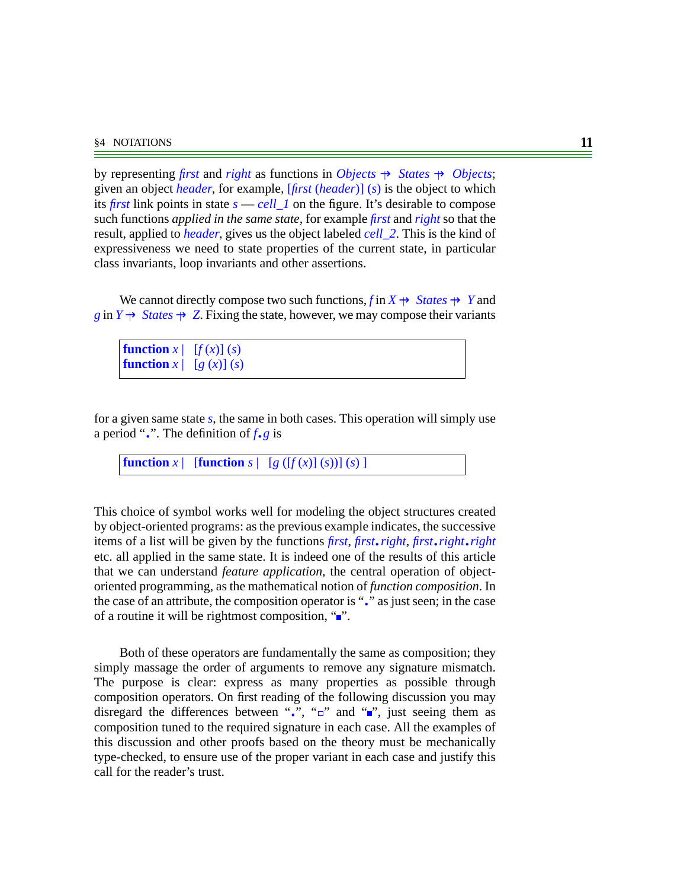by representing *first* and *right* as functions in *Objects*  $\rightarrow$  *States*  $\rightarrow$  *Objects*; given an object *header*, for example, [*first* (*header*)] (*s*) is the object to which its *first* link points in state  $s$  — *cell*  $\angle l$  on the figure. It's desirable to compose such functions *applied in the same state*, for example *first* and *right* so that the result, applied to *header*, gives us the object labeled *cell\_2*. This is the kind of expressiveness we need to state properties of the current state, in particular class invariants, loop invariants and other assertions.

We cannot directly compose two such functions,  $f$  in  $X \rightarrow$  *States*  $\rightarrow$  *Y* and *g* in  $Y \rightarrow$  *States*  $\rightarrow$  *Z*. Fixing the state, however, we may compose their variants

```
function x \mid [f(x)](s)function x \mid [g(x)](s)
```
for a given same state *s*, the same in both cases. This operation will simply use a period ".". The definition of *<sup>f</sup>*.*g* is

```
function x | [function s | [g([f(x)](s))](s)]
```
This choice of symbol works well for modeling the object structures created by object-oriented programs: as the previous example indicates, the successive items of a list will be given by the functions *first*, *first*.*right*, *first*.*right*.*right* etc. all applied in the same state. It is indeed one of the results of this article that we can understand *feature application*, the central operation of objectoriented programming, as the mathematical notion of *function composition*. In the case of an attribute, the composition operator is "." as just seen; in the case of a routine it will be rightmost composition, " $\blacksquare$ ".

Both of these operators are fundamentally the same as composition; they simply massage the order of arguments to remove any signature mismatch. The purpose is clear: express as many properties as possible through composition operators. On first reading of the following discussion you may disregard the differences between ".", " $\Box$ " and ".", just seeing them as composition tuned to the required signature in each case. All the examples of this discussion and other proofs based on the theory must be mechanically type-checked, to ensure use of the proper variant in each case and justify this call for the reader's trust.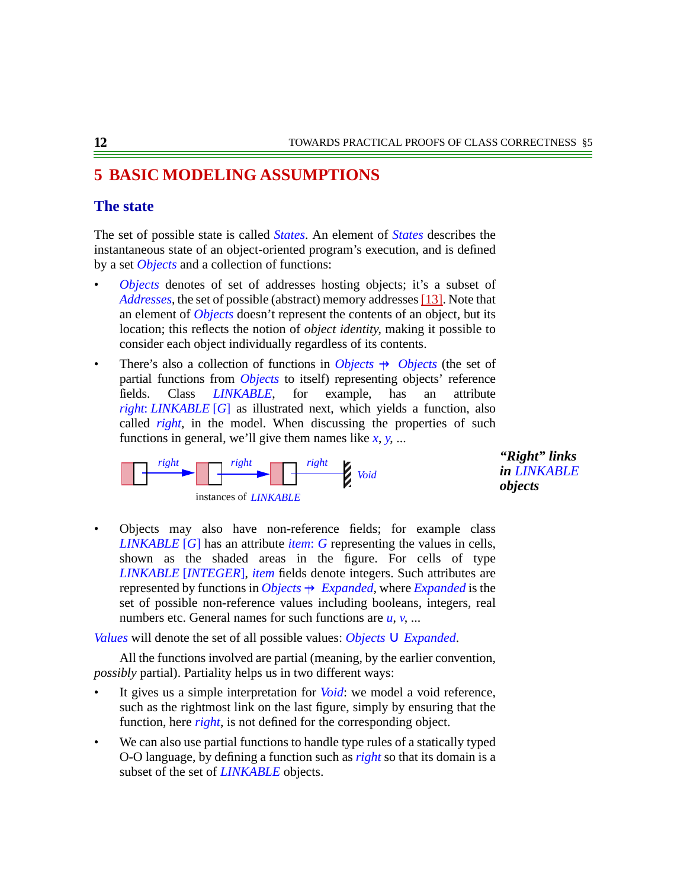# **5 BASIC MODELING ASSUMPTIONS**

### **The state**

The set of possible state is called *States*. An element of *States* describes the instantaneous state of an object-oriented program's execution, and is defined by a set *Objects* and a collection of functions:

- *Objects* denotes of set of addresses hosting objects; it's a subset of *Addresses*, the set of possible (abstract) memory addresses [\[13\]](#page-32-1). Note that an element of *Objects* doesn't represent the contents of an object, but its location; this reflects the notion of *object identity*, making it possible to consider each object individually regardless of its contents.
- There's also a collection of functions in  $Objects \rightarrow Objects$  (the set of partial functions from *Objects* to itself) representing objects' reference fields. Class *LINKABLE*, for example, has an attribute *right*: *LINKABLE* [*G*] as illustrated next, which yields a function, also called *right*, in the model. When discussing the properties of such functions in general, we'll give them names like *x*, *y*, ...



*in LINKABLE objects*

• Objects may also have non-reference fields; for example class *LINKABLE* [*G*] has an attribute *item*: *G* representing the values in cells, shown as the shaded areas in the figure. For cells of type *LINKABLE* [*INTEGER*], *item* fields denote integers. Such attributes are represented by functions in  $Objects \rightarrow Expanded$ , where *Expanded* is the set of possible non-reference values including booleans, integers, real numbers etc. General names for such functions are  $u, v, ...$ 

*Values* will denote the set of all possible values: *Objects* ∪ *Expanded*.

All the functions involved are partial (meaning, by the earlier convention, *possibly* partial). Partiality helps us in two different ways:

- It gives us a simple interpretation for *Void*: we model a void reference, such as the rightmost link on the last figure, simply by ensuring that the function, here *right*, is not defined for the corresponding object.
- We can also use partial functions to handle type rules of a statically typed O-O language, by defining a function such as *right* so that its domain is a subset of the set of *LINKABLE* objects.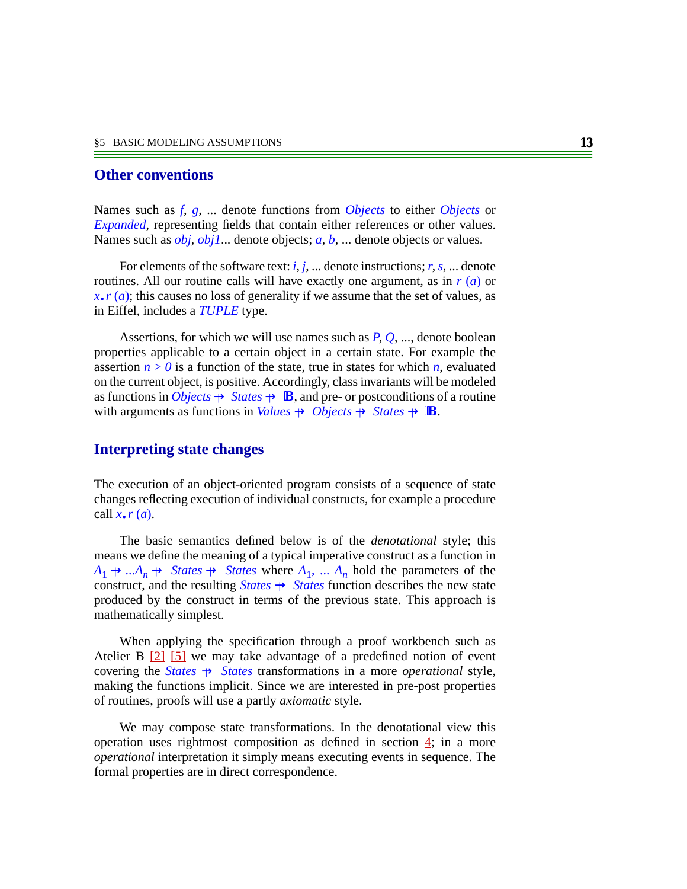#### **Other conventions**

Names such as *f*, *g*, ... denote functions from *Objects* to either *Objects* or *Expanded*, representing fields that contain either references or other values. Names such as *obj*, *obj1*... denote objects; *a*, *b*, ... denote objects or values.

For elements of the software text: *i*, *j*, ... denote instructions;*r*,*s*, ... denote routines. All our routine calls will have exactly one argument, as in *r* (*a*) or *<sup>x</sup>*.*<sup>r</sup>* (*a*); this causes no loss of generality if we assume that the set of values, as in Eiffel, includes a *TUPLE* type.

Assertions, for which we will use names such as *P*, *Q*, ..., denote boolean properties applicable to a certain object in a certain state. For example the assertion  $n > 0$  is a function of the state, true in states for which *n*, evaluated on the current object, is positive. Accordingly, class invariants will be modeled as functions in  $Objects \leftrightarrow States \leftrightarrow \mathbf{B}$ , and pre- or postconditions of a routine with arguments as functions in *Values*  $\rightarrow$  *Objects*  $\rightarrow$  *States*  $\rightarrow$  **B**.

#### **Interpreting state changes**

The execution of an object-oriented program consists of a sequence of state changes reflecting execution of individual constructs, for example a procedure call *<sup>x</sup>*.*r* (*a*).

The basic semantics defined below is of the *denotational* style; this means we define the meaning of a typical imperative construct as a function in  $A_1 \rightarrow ... A_n \rightarrow$  *States*  $\rightarrow$  *States* where  $A_1$ , ...  $A_n$  hold the parameters of the construct, and the resulting  $States \rightarrow States$  function describes the new state produced by the construct in terms of the previous state. This approach is mathematically simplest.

When applying the specification through a proof workbench such as Atelier B [\[2\]](#page-31-5) [\[5\]](#page-31-6) we may take advantage of a predefined notion of event covering the *States*  $\rightarrow$  *States* transformations in a more *operational* style, making the functions implicit. Since we are interested in pre-post properties of routines, proofs will use a partly *axiomatic* style.

We may compose state transformations. In the denotational view this operation uses rightmost composition as defined in section  $\frac{4}{3}$ ; in a more *operational* interpretation it simply means executing events in sequence. The formal properties are in direct correspondence.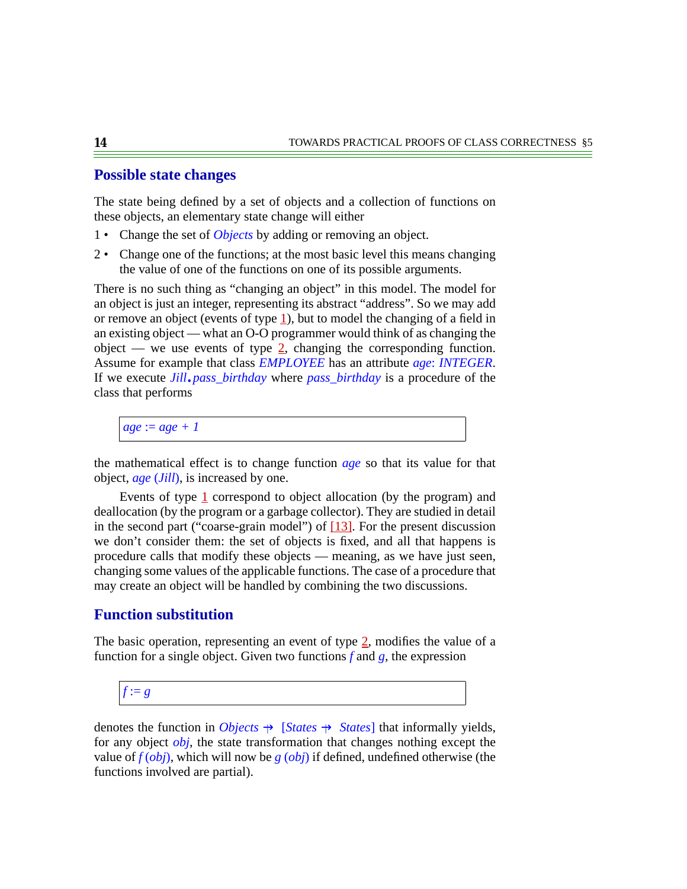#### **Possible state changes**

The state being defined by a set of objects and a collection of functions on these objects, an elementary state change will either

- <span id="page-13-0"></span>1 • Change the set of *Objects* by adding or removing an object.
- <span id="page-13-1"></span>2 • Change one of the functions; at the most basic level this means changing the value of one of the functions on one of its possible arguments.

There is no such thing as "changing an object" in this model. The model for an object is just an integer, representing its abstract "address". So we may add or remove an object (events of type  $\perp$ ), but to model the changing of a field in an existing object — what an O-O programmer would think of as changing the object — we use events of type  $\overline{2}$ , changing the corresponding function. Assume for example that class *EMPLOYEE* has an attribute *age*: *INTEGER*. If we execute *Jill*.*pass\_birthday* where *pass\_birthday* is a procedure of the class that performs

 $age := age + 1$ 

the mathematical effect is to change function *age* so that its value for that object, *age* (*Jill*), is increased by one.

Events of type  $1$  correspond to object allocation (by the program) and deallocation (by the program or a garbage collector). They are studied in detail in the second part ("coarse-grain model") of [\[13\].](#page-32-1) For the present discussion we don't consider them: the set of objects is fixed, and all that happens is procedure calls that modify these objects — meaning, as we have just seen, changing some values of the applicable functions. The case of a procedure that may create an object will be handled by combining the two discussions.

#### **Function substitution**

The basic operation, representing an event of type  $\overline{2}$  $\overline{2}$  $\overline{2}$ , modifies the value of a function for a single object. Given two functions *f* and *g*, the expression

*f* := *g*

denotes the function in  $Objects \rightarrow [States \rightarrow States]$  that informally yields, for any object *obj*, the state transformation that changes nothing except the value of  $f(obj)$ , which will now be  $g(obj)$  if defined, undefined otherwise (the functions involved are partial).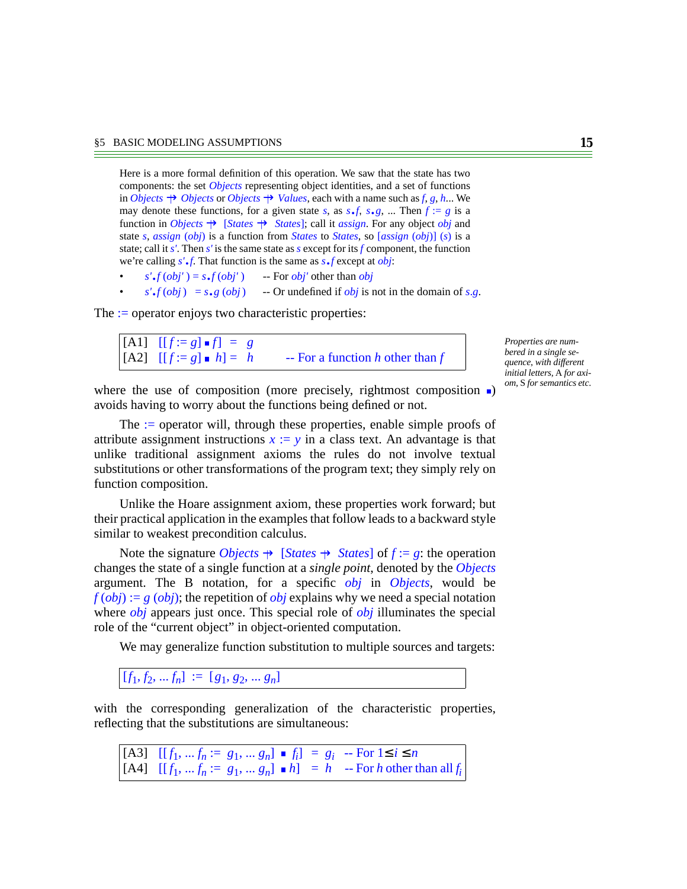Here is a more formal definition of this operation. We saw that the state has two components: the set *Objects* representing object identities, and a set of functions in *Objects*  $\rightarrow$  *Objects* or *Objects*  $\rightarrow$  *Values*, each with a name such as *f*, *g*, *h*... We may denote these functions, for a given state *s*, as *s*.*f*, *s*.*g*, ... Then  $f := g$  is a function in *Objects*  $\rightarrow$  [*States*  $\rightarrow$  *States*]; call it *assign*. For any object *obj* and state *s*, *assign* (*obj*) is a function from *States* to *States*, so [*assign* (*obj*)] (*s*) is a state; call it *s'*. Then *s'* is the same state as *s* except for its *f* component, the function we're calling *s'*.*f*. That function is the same as *<sup>s</sup>*.*f* except at *obj*:

- $s'.f(obj') = s.f(obj')$  -- For *obj'* other than *obj*
- $s' \cdot f(obj) = s \cdot g(obj)$  -- Or undefined if *obj* is not in the domain of *s.g.*

The := operator enjoys two characteristic properties:

<span id="page-14-0"></span> $[A1]$   $[[f := g] \bullet f] = g$  $[A2]$   $[[f := g] \bullet h] = h$  -- For a function *h* other than *f* 

*Properties are numbered in a single sequence*, *with different initial letters*, A *for axiom*, S *for semantics etc*.

where the use of composition (more precisely, rightmost composition  $\Box$ ) avoids having to worry about the functions being defined or not.

The := operator will, through these properties, enable simple proofs of attribute assignment instructions  $x := y$  in a class text. An advantage is that unlike traditional assignment axioms the rules do not involve textual substitutions or other transformations of the program text; they simply rely on function composition.

Unlike the Hoare assignment axiom, these properties work forward; but their practical application in the examples that follow leads to a backward style similar to weakest precondition calculus.

Note the signature  $Objects \rightarrow [States \rightarrow States]$  of  $f := g$ : the operation changes the state of a single function at a *single point*, denoted by the *Objects* argument. The B notation, for a specific *obj* in *Objects*, would be  $f(obj) := g(obj)$ ; the repetition of *obj* explains why we need a special notation where *obj* appears just once. This special role of *obj* illuminates the special role of the "current object" in object-oriented computation.

We may generalize function substitution to multiple sources and targets:

 $[f_1, f_2, ... f_n] := [g_1, g_2, ... g_n]$ 

with the corresponding generalization of the characteristic properties, reflecting that the substitutions are simultaneous:

<span id="page-14-1"></span> $[A3]$   $[[f_1, ... f_n := g_1, ... g_n] \bullet f_i] = g_i$  -- For  $1 \le i \le n$  $[A4]$   $[[f_1, ... f_n := g_1, ... g_n] \bullet h] = h$  -- For *h* other than all  $f_i$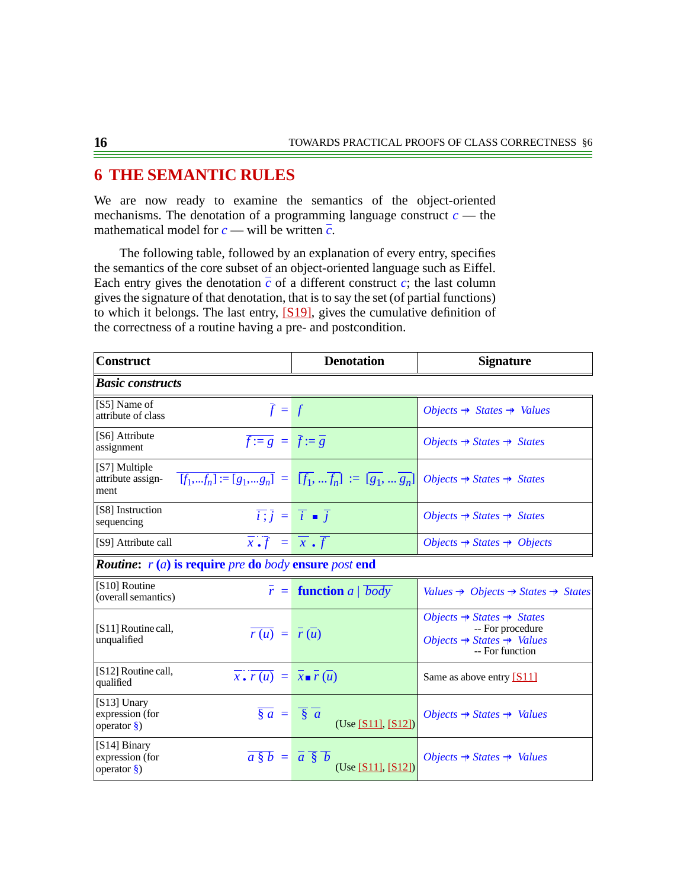# <span id="page-15-10"></span>**6 THE SEMANTIC RULES**

We are now ready to examine the semantics of the object-oriented mechanisms. The denotation of a programming language construct  $c$  — the mathematical model for  $c$  — will be written  $\overline{c}$ .

The following table, followed by an explanation of every entry, specifies the semantics of the core subset of an object-oriented language such as Eiffel. Each entry gives the denotation  $\overline{c}$  of a different construct  $c$ ; the last column gives the signature of that denotation, that is to say the set (of partial functions) to which it belongs. The last entry,  $[**S**19]$ , gives the cumulative definition of the correctness of a routine having a pre- and postcondition.

<span id="page-15-9"></span><span id="page-15-8"></span><span id="page-15-7"></span><span id="page-15-6"></span><span id="page-15-5"></span><span id="page-15-4"></span><span id="page-15-3"></span><span id="page-15-2"></span><span id="page-15-1"></span><span id="page-15-0"></span>

| <b>Construct</b>                                                                                         | <b>Denotation</b>                                                                                                | <b>Signature</b>                                                                                                                          |  |  |
|----------------------------------------------------------------------------------------------------------|------------------------------------------------------------------------------------------------------------------|-------------------------------------------------------------------------------------------------------------------------------------------|--|--|
| <b>Basic constructs</b>                                                                                  |                                                                                                                  |                                                                                                                                           |  |  |
| [S5] Name of<br>$\bar{f} = f$<br>attribute of class                                                      |                                                                                                                  | $Objects \rightarrow States \rightarrow Values$                                                                                           |  |  |
| [S6] Attribute<br>$\overline{f} := \overline{g} = \overline{f} := \overline{g}$<br>assignment            |                                                                                                                  | $Objects \rightarrow States \rightarrow States$                                                                                           |  |  |
| [S7] Multiple<br>attribute assign-<br>ment                                                               | $\overline{[f_1,  f_n] := [g_1,  g_n]} = [\overline{f_1},  \overline{f_n}] := [\overline{g_1},  \overline{g_n}]$ | $Objects \rightarrow States \rightarrow States$                                                                                           |  |  |
| [S8] Instruction<br>sequencing                                                                           | $\overline{i}$ ; $\overline{j}$ = $\overline{i}$ = $\overline{j}$                                                | $Objects \rightarrow States \rightarrow States$                                                                                           |  |  |
| $\overline{x} \cdot \overline{f} = \overline{x} \cdot \overline{f}$<br>[S9] Attribute call               |                                                                                                                  | $Objects \rightarrow States \rightarrow Objects$                                                                                          |  |  |
| <i>Routine:</i> $r(a)$ is require <i>pre</i> do <i>body</i> ensure <i>post</i> end                       |                                                                                                                  |                                                                                                                                           |  |  |
| [S10] Routine<br>(overall semantics)                                                                     | $\bar{r}$ = <b>function</b> a $\bar{b}$ body                                                                     | Values $\rightarrow$ Objects $\rightarrow$ States $\rightarrow$ States                                                                    |  |  |
| [S11] Routine call,<br>$\overline{r(u)} = \overline{r}(\overline{u})$<br>unqualified                     |                                                                                                                  | $Objects \rightarrow States \rightarrow States$<br>-- For procedure<br>$Objects \rightarrow States \rightarrow Values$<br>-- For function |  |  |
| [S12] Routine call,<br>$\overline{x \cdot r(u)} = \overline{x \cdot r(u)}$<br>qualified                  |                                                                                                                  | Same as above entry [S11]                                                                                                                 |  |  |
| $[S13]$ Unary<br>$\overline{\S a} = \overline{\S a}$<br>expression (for<br>operator $\S$ )               | (Use [S11], [S12])                                                                                               | $Objects \rightarrow States \rightarrow Values$                                                                                           |  |  |
| [S14] Binary<br>$\overline{a \& b} = \overline{a} \overline{\& b}$<br>expression (for<br>operator $\S$ ) | (Use [S11], [S12])                                                                                               | $Objects \rightarrow States \rightarrow Values$                                                                                           |  |  |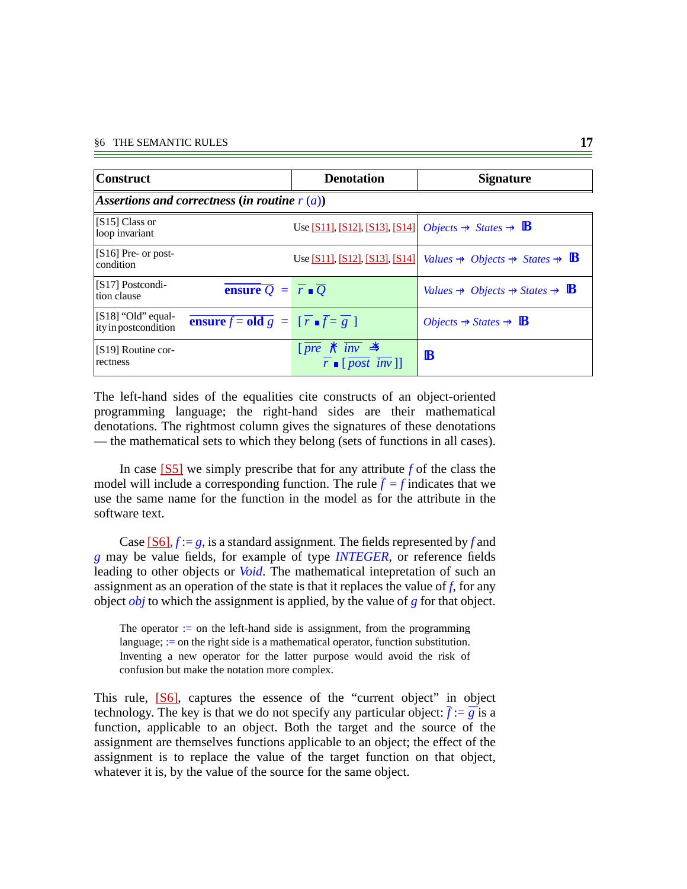<span id="page-16-4"></span><span id="page-16-3"></span><span id="page-16-1"></span>

| Construct                                       |                                                                                                            | <b>Denotation</b>                                                                                                                    | <b>Signature</b>                                                                                                             |  |
|-------------------------------------------------|------------------------------------------------------------------------------------------------------------|--------------------------------------------------------------------------------------------------------------------------------------|------------------------------------------------------------------------------------------------------------------------------|--|
| Assertions and correctness (in routine $r(a)$ ) |                                                                                                            |                                                                                                                                      |                                                                                                                              |  |
| $ [S15]$ Class or<br>loop invariant             |                                                                                                            | Use [S11], [S12], [S13], [S14] $Objects \rightarrow States \rightarrow$ <b>B</b>                                                     |                                                                                                                              |  |
| $[S16]$ Pre- or post-<br>condition              |                                                                                                            |                                                                                                                                      | Use [S11], [S12], [S13], [S14] <i>Values</i> $\rightarrow$ <i>Objects</i> $\rightarrow$ <i>States</i> $\rightarrow$ <b>B</b> |  |
| [S17] Postcondi-<br>tion clause                 | <b>ensure</b> $\overline{Q} = \overline{r} \cdot \overline{Q}$                                             |                                                                                                                                      | Values $\rightarrow$ Objects $\rightarrow$ States $\rightarrow$ <b>B</b>                                                     |  |
| [S18] "Old" equal-<br>ity in postcondition      | <b>ensure</b> $\overline{f} = \overline{\text{old } g} = [\overline{r} \cdot \overline{f} = \overline{g}]$ |                                                                                                                                      | $Objects \rightarrow States \rightarrow \mathbf{B}$                                                                          |  |
| [S19] Routine cor-<br>rectness                  |                                                                                                            | $[\overline{pre} \ \overline{\land} \ \overline{inv} \ \stackrel{*}{\Rightarrow}$<br>$\overline{r}$ $\sqrt{post}$ $\overline{inv}$ ] | $\mathbf{B}$                                                                                                                 |  |

<span id="page-16-2"></span><span id="page-16-0"></span>The left-hand sides of the equalities cite constructs of an object-oriented programming language; the right-hand sides are their mathematical denotations. The rightmost column gives the signatures of these denotations — the mathematical sets to which they belong (sets of functions in all cases).

In case [\[S5\]](#page-15-4) we simply prescribe that for any attribute *f* of the class the model will include a corresponding function. The rule  $\bar{f} = f$  indicates that we use the same name for the function in the model as for the attribute in the software text.

Case  $[S6]$ ,  $f := g$ , is a standard assignment. The fields represented by f and *g* may be value fields, for example of type *INTEGER*, or reference fields leading to other objects or *Void*. The mathematical intepretation of such an assignment as an operation of the state is that it replaces the value of *f*, for any object *obj* to which the assignment is applied, by the value of *g* for that object.

The operator  $:=$  on the left-hand side is assignment, from the programming language; := on the right side is a mathematical operator, function substitution. Inventing a new operator for the latter purpose would avoid the risk of confusion but make the notation more complex.

This rule, [\[S6\]](#page-15-5), captures the essence of the "current object" in object technology. The key is that we do not specify any particular object:  $\vec{f}$  :=  $\vec{g}$  is a function, applicable to an object. Both the target and the source of the assignment are themselves functions applicable to an object; the effect of the assignment is to replace the value of the target function on that object, whatever it is, by the value of the source for the same object.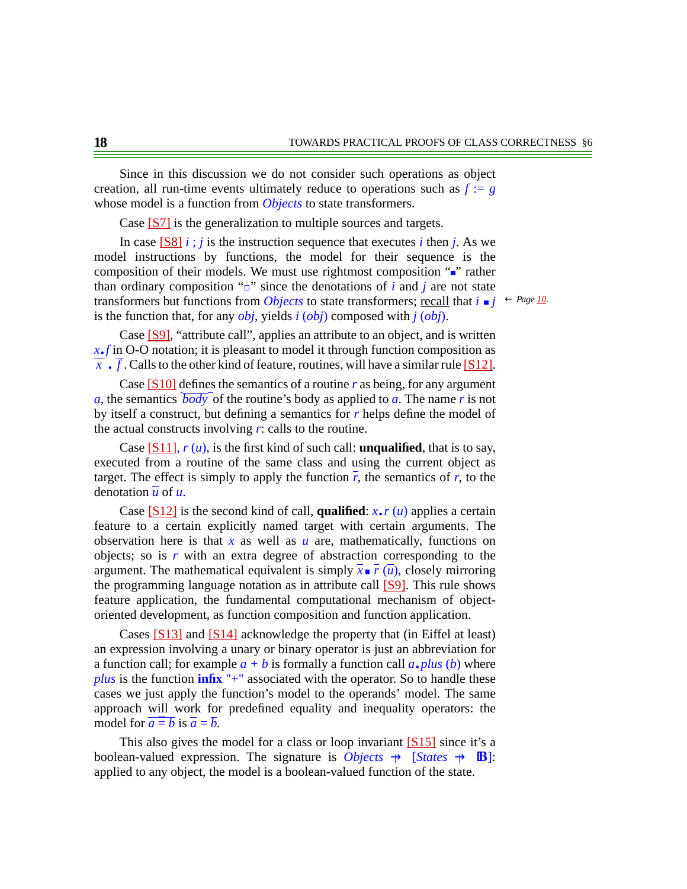Since in this discussion we do not consider such operations as object creation, all run-time events ultimately reduce to operations such as  $f := g$ whose model is a function from *Objects* to state transformers.

Case [\[S7\]](#page-15-6) is the generalization to multiple sources and targets.

In case  $[SS]$  *i*; *j* is the instruction sequence that executes *i* then *j*. As we model instructions by functions, the model for their sequence is the composition of their models. We must use rightmost composition "" rather than ordinary composition " $\Box$ " since the denotations of *i* and *j* are not state transformers but functions from *Objects* to state transformers; <u>recall</u> that  $i \cdot j \leftarrow Page \underline{10}$  $i \cdot j \leftarrow Page \underline{10}$  $i \cdot j \leftarrow Page \underline{10}$ . is the function that, for any *obj*, yields *i* (*obj*) composed with *j* (*obj*).

Case [\[S9\],](#page-15-8) "attribute call", applies an attribute to an object, and is written *<sup>x</sup>*.*<sup>f</sup>* in O-O notation; it is pleasant to model it through function composition as  $\overline{x}$ .  $\overline{f}$ . Calls to the other kind of feature, routines, will have a similar rule [\[S12\]](#page-15-1).

Case [\[S10\]](#page-15-9) defines the semantics of a routine *r* as being, for any argument *a*, the semantics  $\overline{body}$  of the routine's body as applied to *a*. The name *r* is not by itself a construct, but defining a semantics for *r* helps define the model of the actual constructs involving *r*: calls to the routine.

Case  $[S11]$ ,  $r(u)$ , is the first kind of such call: **unqualified**, that is to say, executed from a routine of the same class and using the current object as target. The effect is simply to apply the function  $\overline{r}$ , the semantics of  $\overline{r}$ , to the denotation  $\overline{u}$  of  $\overline{u}$ .

Case  $[S12]$  is the second kind of call, **qualified**: *x*.*r* (*u*) applies a certain feature to a certain explicitly named target with certain arguments. The observation here is that  $x$  as well as  $u$  are, mathematically, functions on objects; so is *r* with an extra degree of abstraction corresponding to the argument. The mathematical equivalent is simply  $\bar{x} \cdot \bar{r} (\bar{u})$ , closely mirroring the programming language notation as in attribute call [\[S9\].](#page-15-8) This rule shows feature application, the fundamental computational mechanism of objectoriented development, as function composition and function application.

Cases [\[S13\]](#page-15-3) and [\[S14\]](#page-15-2) acknowledge the property that (in Eiffel at least) an expression involving a unary or binary operator is just an abbreviation for a function call; for example  $a + b$  is formally a function call  $a$ . *plus* (*b*) where *plus* is the function **infix** "+" associated with the operator. So to handle these cases we just apply the function's model to the operands' model. The same approach will work for predefined equality and inequality operators: the model for  $\overline{a} = \overline{b}$  is  $\overline{a} = \overline{b}$ .

This also gives the model for a class or loop invariant [\[S15\]](#page-16-1) since it's a boolean-valued expression. The signature is  $Objects \rightarrow [States \rightarrow \mathbf{B}]$ : applied to any object, the model is a boolean-valued function of the state.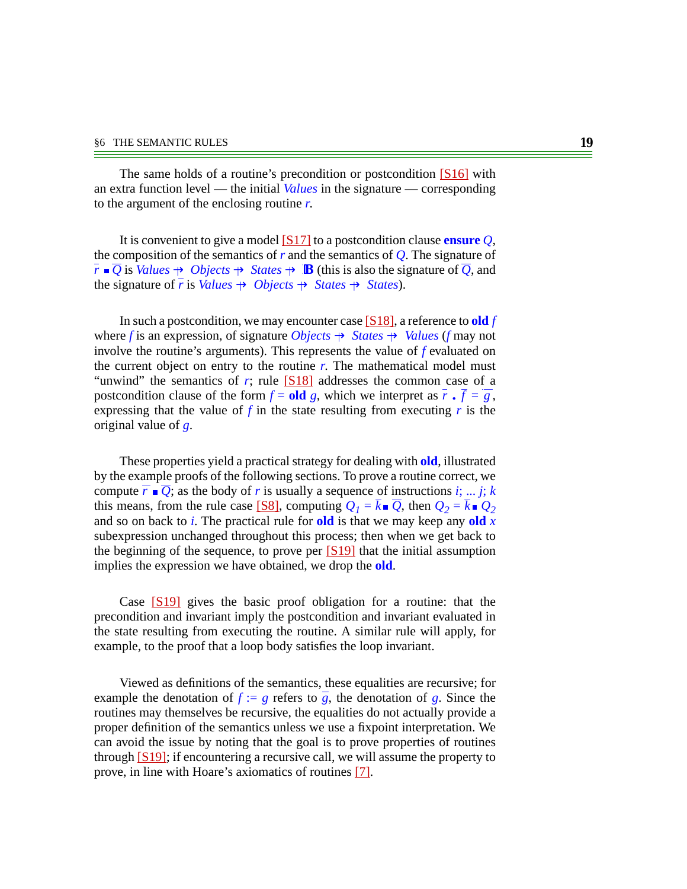The same holds of a routine's precondition or postcondition [\[S16\]](#page-16-3) with an extra function level — the initial *Values* in the signature — corresponding to the argument of the enclosing routine *r*.

It is convenient to give a model [\[S17\]](#page-16-4) to a postcondition clause **ensure** *Q*, the composition of the semantics of *r* and the semantics of *Q*. The signature of  $\overline{P}$  **a**  $\overline{Q}$  is *Values*  $\rightarrow$  *Objects*  $\rightarrow$  *States*  $\rightarrow$  **B** (this is also the signature of  $\overline{Q}$ , and the signature of  $\overline{r}$  is *Values*  $\rightarrow$  *Objects*  $\rightarrow$  *States*  $\rightarrow$  *States*).

In such a postcondition, we may encounter case [\[S18\]](#page-16-2), a reference to **old** *f* where *f* is an expression, of signature *Objects*  $\rightarrow$  *States*  $\rightarrow$  *Values* (*f* may not involve the routine's arguments). This represents the value of *f* evaluated on the current object on entry to the routine  $r$ . The mathematical model must "unwind" the semantics of *r*; rule [\[S18\]](#page-16-2) addresses the common case of a postcondition clause of the form  $f = old$  *g*, which we interpret as  $\overline{r} \cdot \overline{f} = \overline{g}$ , expressing that the value of  $f$  in the state resulting from executing  $r$  is the original value of *g*.

These properties yield a practical strategy for dealing with **old**, illustrated by the example proofs of the following sections. To prove a routine correct, we compute  $\overline{r} = \overline{Q}$ ; as the body of r is usually a sequence of instructions *i*; ... *j*; *k* this means, from the rule case [\[S8\],](#page-15-7) computing  $Q_1 = \overline{k} \cdot \overline{Q}$ , then  $Q_2 = \overline{k} \cdot \overline{Q}$ and so on back to *i*. The practical rule for **old** is that we may keep any **old**  $\bar{x}$ subexpression unchanged throughout this process; then when we get back to the beginning of the sequence, to prove per  $[**S**19]$  that the initial assumption implies the expression we have obtained, we drop the **old**.

Case [\[S19\]](#page-16-0) gives the basic proof obligation for a routine: that the precondition and invariant imply the postcondition and invariant evaluated in the state resulting from executing the routine. A similar rule will apply, for example, to the proof that a loop body satisfies the loop invariant.

Viewed as definitions of the semantics, these equalities are recursive; for example the denotation of  $f := g$  refers to  $\overline{g}$ , the denotation of  $g$ . Since the routines may themselves be recursive, the equalities do not actually provide a proper definition of the semantics unless we use a fixpoint interpretation. We can avoid the issue by noting that the goal is to prove properties of routines through [\[S19\]](#page-16-0); if encountering a recursive call, we will assume the property to prove, in line with Hoare's axiomatics of routines [\[7\].](#page-31-7)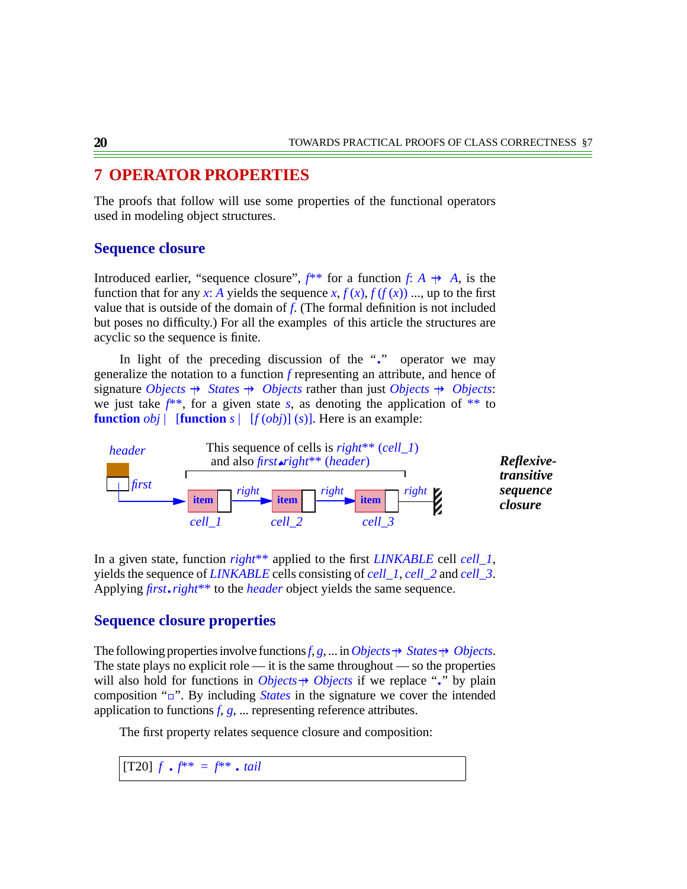### <span id="page-19-1"></span>**7 OPERATOR PROPERTIES**

The proofs that follow will use some properties of the functional operators used in modeling object structures.

#### **Sequence closure**

Introduced earlier, "sequence closure",  $f^{**}$  for a function  $f: A \rightarrow A$ , is the function that for any *x*: *A* yields the sequence  $x, f(x), f(f(x))$  ..., up to the first value that is outside of the domain of *f*. (The formal definition is not included but poses no difficulty.) For all the examples of this article the structures are acyclic so the sequence is finite.

In light of the preceding discussion of the "." operator we may generalize the notation to a function *f* representing an attribute, and hence of signature *Objects*  $\rightarrow$  *States*  $\rightarrow$  *Objects* rather than just *Objects*  $\rightarrow$  *Objects*: we just take  $f^{**}$ , for a given state *s*, as denoting the application of  $**$  to **function**  $obj$  | [**function**  $s$  |  $[f(obj)] (s)]$ . Here is an example:



In a given state, function *right*\*\* applied to the first *LINKABLE* cell *cell\_1*, yields the sequence of *LINKABLE* cells consisting of *cell\_1*, *cell\_2* and *cell\_3*. Applying *first*.*right*\*\* to the *header* object yields the same sequence.

#### **Sequence closure properties**

The following properties involve functions  $f$ ,  $g$ , ... in *Objects*  $\rightarrow$  *States*  $\rightarrow$  *Objects*. The state plays no explicit role — it is the same throughout — so the properties will also hold for functions in  $Objects \rightarrow Objects$  if we replace "." by plain composition " $\Box$ ". By including *States* in the signature we cover the intended application to functions *f*, *g*, ... representing reference attributes.

The first property relates sequence closure and composition:

<span id="page-19-0"></span>[T20] *<sup>f</sup>* . *f*\*\* = *<sup>f</sup>*\*\* . *tail*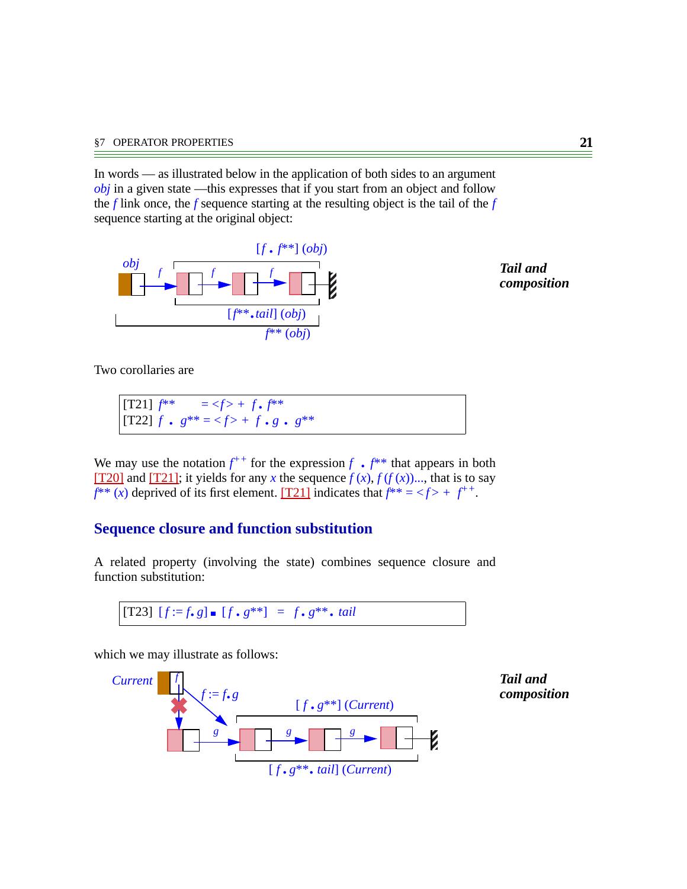In words — as illustrated below in the application of both sides to an argument *obj* in a given state —this expresses that if you start from an object and follow the *f* link once, the *f* sequence starting at the resulting object is the tail of the *f* sequence starting at the original object:



*Tail and composition*

Two corollaries are

<span id="page-20-2"></span><span id="page-20-0"></span> $[T21]$   $f^{**}$  = <  $f$  > +  $f \cdot f^{**}$ [T22]  $f \cdot g^{**} = \langle f \rangle + f \cdot g \cdot g^{**}$ 

We may use the notation  $f^{++}$  for the expression  $f \cdot f^{**}$  that appears in both [\[T20\]](#page-19-0) and [\[T21\]](#page-20-0); it yields for any x the sequence  $f(x)$ ,  $f(f(x))$ ..., that is to say  $f^{**}(x)$  deprived of its first element. [\[T21\]](#page-20-0) indicates that  $f^{**} = \langle f \rangle + f^{++}$ .

#### **Sequence closure and function substitution**

A related property (involving the state) combines sequence closure and function substitution:

<span id="page-20-1"></span> $[T23]$   $[f := f \cdot g] \bullet [f \cdot g^{**}] = f \cdot g^{**} \cdot tail$ 

which we may illustrate as follows:

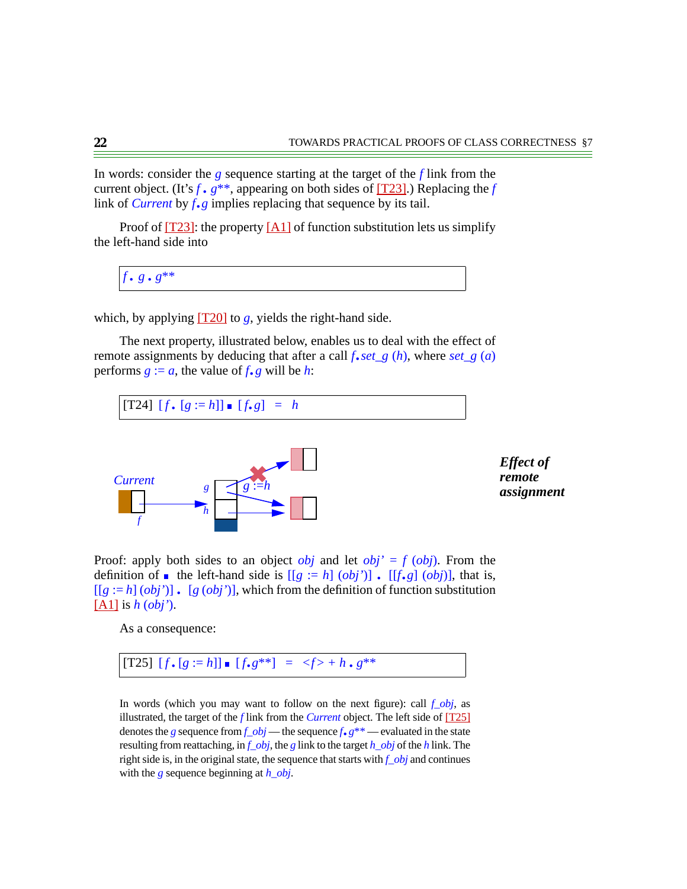In words: consider the *g* sequence starting at the target of the *f* link from the current object. (It's  $f \cdot g^{**}$ , appearing on both sides of  $[T23]$ .) Replacing the  $f$ link of *Current* by *<sup>f</sup>*.*<sup>g</sup>* implies replacing that sequence by its tail.

Proof of  $[T23]$ : the property  $[Al]$  of function substitution lets us simplify the left-hand side into

*<sup>f</sup>* .*<sup>g</sup>* . *<sup>g</sup>*\*\*

which, by applying  $[T20]$  to *g*, yields the right-hand side.

The next property, illustrated below, enables us to deal with the effect of remote assignments by deducing that after a call  $f$ , set  $g(h)$ , where set  $g(a)$ performs  $g := a$ , the value of  $f \cdot g$  will be  $h$ :

<span id="page-21-1"></span> $[T24]$   $[f \cdot [g := h]] \cdot [f \cdot g] = h$ 



*Effect of remote assignment*

Proof: apply both sides to an object *obj* and let  $obj' = f(obj)$ . From the definition of  $\blacksquare$  the left-hand side is  $[[g := h] (obj')] \cdot [[f,g] (obj)]$ , that is,  $[$ [*g* := *h*]  $(obj')$ ]. [*g*  $(obj')$ ], which from the definition of function substitution [\[A1\]](#page-14-0) is *h* (*obj'*).

As a consequence:

<span id="page-21-0"></span>[T25] 
$$
[f \cdot [g := h]] \bullet [f \cdot g^{**}] = \langle f \rangle + h \cdot g^{**}
$$

In words (which you may want to follow on the next figure): call *f\_obj*, as illustrated, the target of the *f* link from the *Current* object. The left side of [\[T25\]](#page-21-0) denotes the *g* sequence from  $f$ <sub>*obj* — the sequence  $f$ <sub>*• g*<sup>\*\*</sup> — evaluated in the state</sub></sub> resulting from reattaching, in *f\_obj*, the *g* link to the target *h\_obj* of the *h* link. The right side is, in the original state, the sequence that starts with *f\_obj* and continues with the *g* sequence beginning at *h* obj.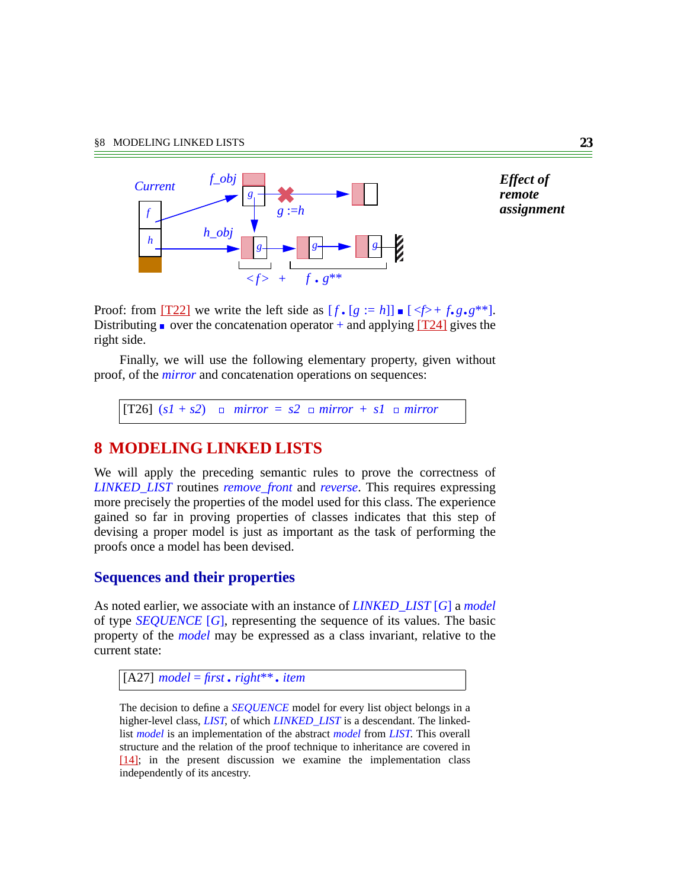



Proof: from  $[T22]$  we write the left side as  $[f \cdot [g := h]] \cdot [\langle f \rangle + f \cdot g \cdot g^{**}]$ . Distributing over the concatenation operator + and applying  $[T24]$  gives the right side.

Finally, we will use the following elementary property, given without proof, of the *mirror* and concatenation operations on sequences:

<span id="page-22-1"></span> $[T26]$   $(s1 + s2)$   $\Box$  *mirror* =  $s2$   $\Box$  *mirror* +  $s1$   $\Box$  *mirror* 

# <span id="page-22-2"></span>**8 MODELING LINKED LISTS**

We will apply the preceding semantic rules to prove the correctness of *LINKED\_LIST* routines *remove\_front* and *reverse*. This requires expressing more precisely the properties of the model used for this class. The experience gained so far in proving properties of classes indicates that this step of devising a proper model is just as important as the task of performing the proofs once a model has been devised.

#### **Sequences and their properties**

As noted earlier, we associate with an instance of *LINKED\_LIST* [*G*] a *model* of type *SEQUENCE* [*G*], representing the sequence of its values. The basic property of the *model* may be expressed as a class invariant, relative to the current state:

<span id="page-22-0"></span>[A27] *model* <sup>=</sup> *first* . *right*\*\*. *item*

The decision to define a *SEQUENCE* model for every list object belongs in a higher-level class, *LIST*, of which *LINKED\_LIST* is a descendant. The linkedlist *model* is an implementation of the abstract *model* from *LIST*. This overall structure and the relation of the proof technique to inheritance are covered in [\[14\]](#page-32-6); in the present discussion we examine the implementation class independently of its ancestry.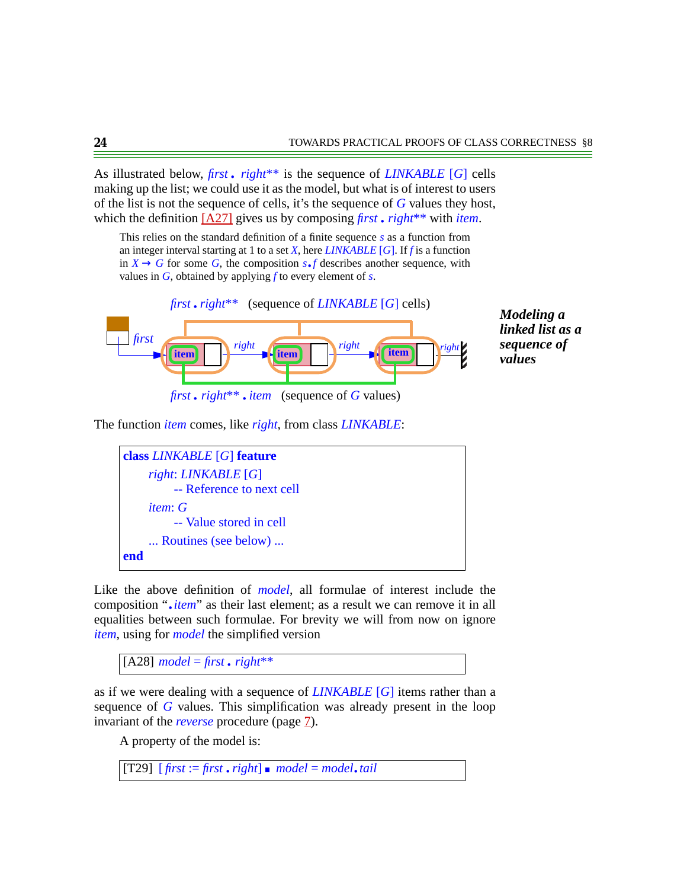As illustrated below, *first* . *right*\*\* is the sequence of *LINKABLE* [*G*] cells making up the list; we could use it as the model, but what is of interest to users of the list is not the sequence of cells, it's the sequence of *G* values they host, which the definition [\[A27\]](#page-22-0) gives us by composing *first* . *right*\*\* with *item*.

This relies on the standard definition of a finite sequence *s* as a function from an integer interval starting at 1 to a set *X*, here *LINKABLE* [*G*]. If *f* is a function in  $X \rightarrow G$  for some G, the composition *s*. *f* describes another sequence, with values in *G*, obtained by applying *f* to every element of *s*.

*first* .*right*\*\* (sequence of *LINKABLE* [*G*] cells)



*Modeling a linked list as a sequence of values*

The function *item* comes, like *right*, from class *LINKABLE*:

```
class LINKABLE [G] feature
    right: LINKABLE [G]
         -- Reference to next cell
    item: G
         -- Value stored in cell
    ... Routines (see below) ...
end
```
Like the above definition of *model*, all formulae of interest include the composition ".*item*" as their last element; as a result we can remove it in all equalities between such formulae. For brevity we will from now on ignore *item*, using for *model* the simplified version

 $[A28] \text{ model} = \text{first} \cdot \text{right}^*$ 

as if we were dealing with a sequence of *LINKABLE* [*G*] items rather than a sequence of *G* values. This simplification was already present in the loop invariant of the *reverse* procedure (page [7\)](#page-6-0).

A property of the model is:

<span id="page-23-0"></span>[T29] [ *first* := *first* .*right*] *model* <sup>=</sup> *model*.*tail*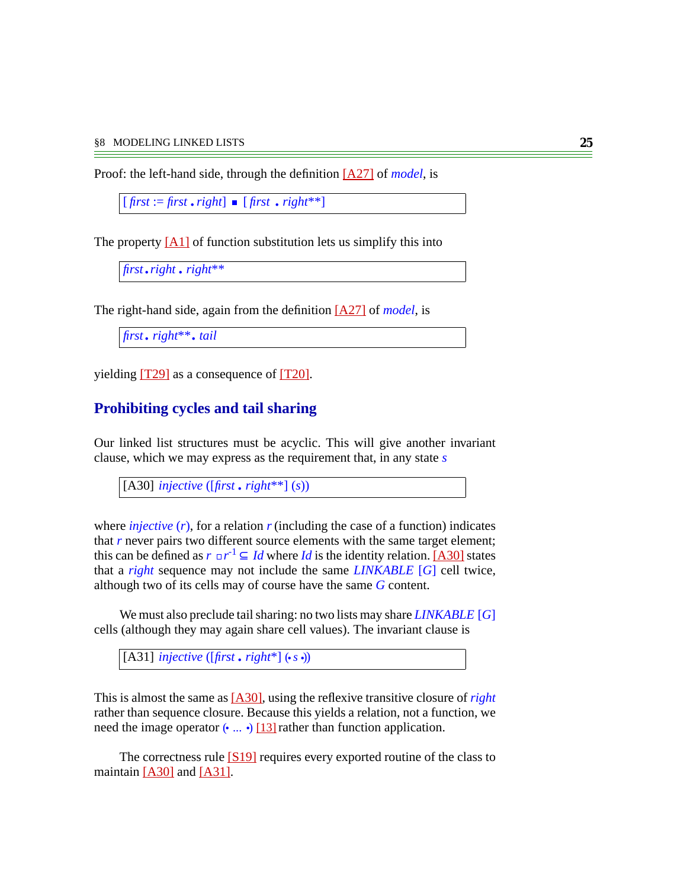Proof: the left-hand side, through the definition [\[A27\]](#page-22-0) of *model*, is

 $[$ *first* := *first* . *right* $] \blacksquare$  [*first* . *right*<sup>\*\*</sup>]

The property  $[A1]$  of function substitution lets us simplify this into

```
first.right . right**
```
The right-hand side, again from the definition [\[A27\]](#page-22-0) of *model*, is

```
first. right**. tail
```
yielding  $[T29]$  as a consequence of  $[T20]$ .

#### **Prohibiting cycles and tail sharing**

Our linked list structures must be acyclic. This will give another invariant clause, which we may express as the requirement that, in any state *s*

```
[A30] injective ([first . right**] (s))
```
where *injective*  $(r)$ , for a relation  $r$  (including the case of a function) indicates that *r* never pairs two different source elements with the same target element; this can be defined as  $r \nightharpoonup r^{-1} \subset Id$  where *Id* is the identity relation. [\[A30\]](#page-24-0) states that a *right* sequence may not include the same *LINKABLE* [*G*] cell twice, although two of its cells may of course have the same *G* content.

We must also preclude tail sharing: no two lists may share *LINKABLE* [*G*] cells (although they may again share cell values). The invariant clause is

<span id="page-24-1"></span>[A31] *injective* ([*first* . *right*\*] ( .*s*.))

This is almost the same as [\[A30\],](#page-24-0) using the reflexive transitive closure of *right* rather than sequence closure. Because this yields a relation, not a function, we rather than sequence closure. Because this yields a relation, not a furneed the image operator  $(\cdot \dots \cdot)$  [\[13\]](#page-32-1) rather than function application.

The correctness rule **[\[S19\]](#page-16-0)** requires every exported routine of the class to maintain [\[A30\]](#page-24-0) and [\[A31\].](#page-24-1)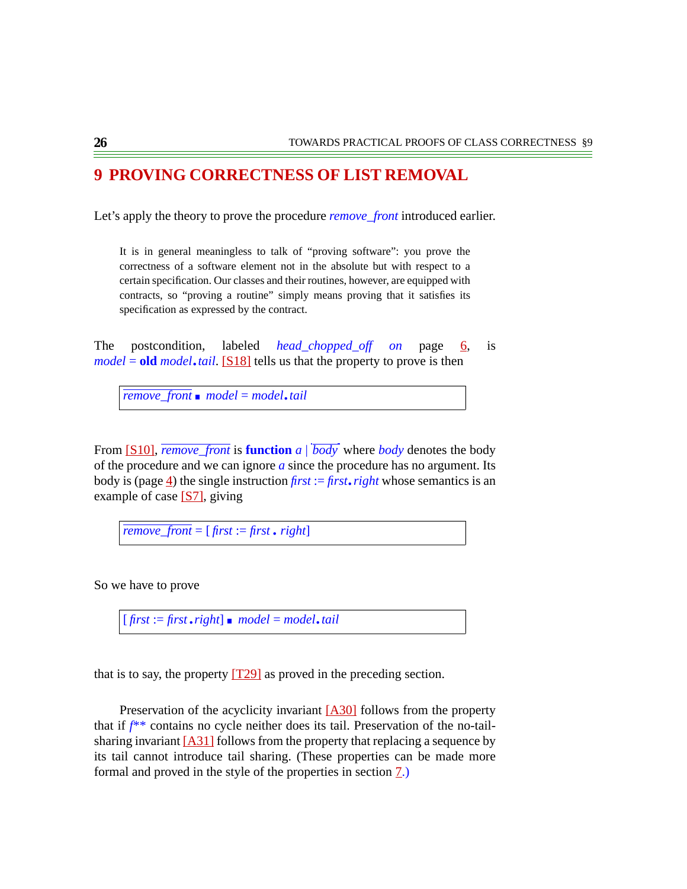# **9 PROVING CORRECTNESS OF LIST REMOVAL**

Let's apply the theory to prove the procedure *remove\_front* introduced earlier.

It is in general meaningless to talk of "proving software": you prove the correctness of a software element not in the absolute but with respect to a certain specification. Our classes and their routines, however, are equipped with contracts, so "proving a routine" simply means proving that it satisfies its specification as expressed by the contract.

The postcondition, labeled *head\_chopped\_off on* page <u>[6](#page-5-0)</u>, is *model* <sup>=</sup> **old** *model*.*tail*. [\[S18\]](#page-16-2) tells us that the property to prove is then

*remove\_front model* <sup>=</sup> *model*.*tail*

From [\[S10\],](#page-15-9) *remove\_front* is **function** *a* | *body* where *body* denotes the body of the procedure and we can ignore  $\alpha$  since the procedure has no argument. Its body is (page  $\underline{4}$ ) the single instruction *first* := *first*. *right* whose semantics is an example of case [\[S7\],](#page-15-6) giving

 $remove\_front = [first := first \cdot right]$ </u>

So we have to prove

 $[$ *first* := *first*.*right* $] \blacksquare$  *model* = *model*.*tail* 

that is to say, the property  $[T29]$  as proved in the preceding section.

Preservation of the acyclicity invariant [\[A30\]](#page-24-0) follows from the property that if *f*\*\* contains no cycle neither does its tail. Preservation of the no-tailsharing invariant  $[**A31**]$  follows from the property that replacing a sequence by its tail cannot introduce tail sharing. (These properties can be made more formal and proved in the style of the properties in section  $\overline{1}$ .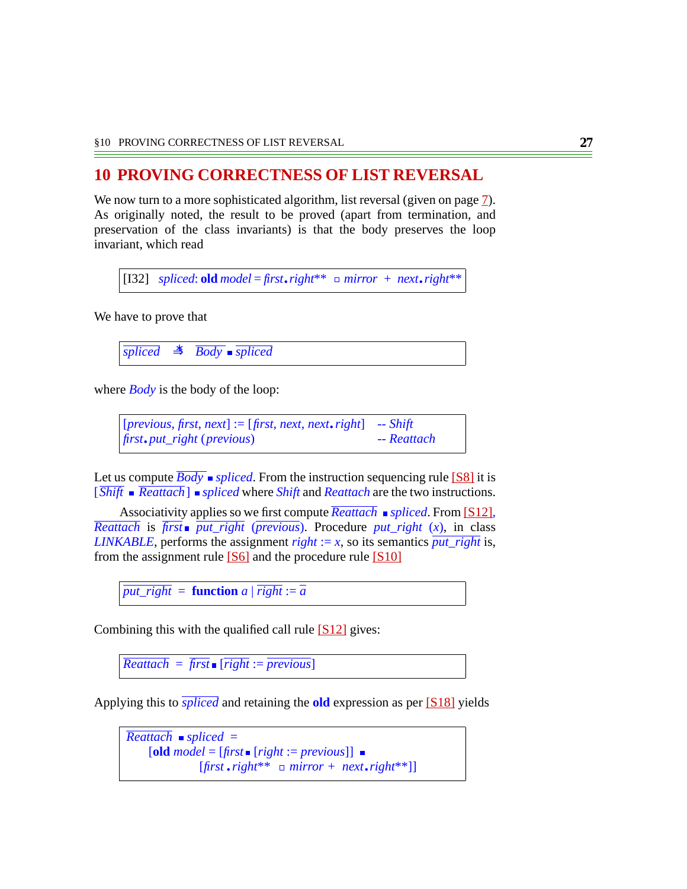# <span id="page-26-0"></span>**10 PROVING CORRECTNESS OF LIST REVERSAL**

We now turn to a more sophisticated algorithm, list reversal (given on page [7](#page-6-1)). As originally noted, the result to be proved (apart from termination, and preservation of the class invariants) is that the body preserves the loop invariant, which read

<span id="page-26-1"></span> $[132]$  *spliced*: **old** *model* = *first*.*right*<sup>\*\*</sup>  $\Box$  *mirror* + *next*.*right*<sup>\*\*</sup>

We have to prove that

```
spliced Body spliced
⇒∗
```
where *Body* is the body of the loop:

```
[previous, first, next] := [first, next, next.right] -- Shift
first.put_right (previous)
```
Let us compute  $\overline{Body}$  **s** *spliced*. From the instruction sequencing rule [\[S8\]](#page-15-7) it is [*Shift Reattach*] *spliced* where *Shift* and *Reattach* are the two instructions.

Associativity applies so we first compute  $\overline{Reattach}$  **s** *spliced*. From [\[S12\]](#page-15-1), *Reattach* is  $\overline{first}$  *put\_right* (*previous*). Procedure *put\_right* (*x*), in class *LINKABLE*, performs the assignment *right* := *x*, so its semantics *put\_right* is, from the assignment rule  $[**S6**]$  and the procedure rule  $[**S10**]$ 

 $\overline{put\_right}$  = **function**  $a \mid \overline{right} := \overline{a}$ 

Combining this with the qualified call rule [\[S12\]](#page-15-1) gives:

 $Reattach = first = [right := previous]$ </u>

Applying this to *spliced* and retaining the **old** expression as per [\[S18\]](#page-16-2) yields

*Reattach spliced* =  $\lceil \text{old model} \rceil = \lceil \text{first} \rceil \rceil \rceil$   $\lceil \text{right} \rceil = \text{previous} \rceil \rceil$  $[first \cdot right** \square \text{ mirror} + next \cdot right**]$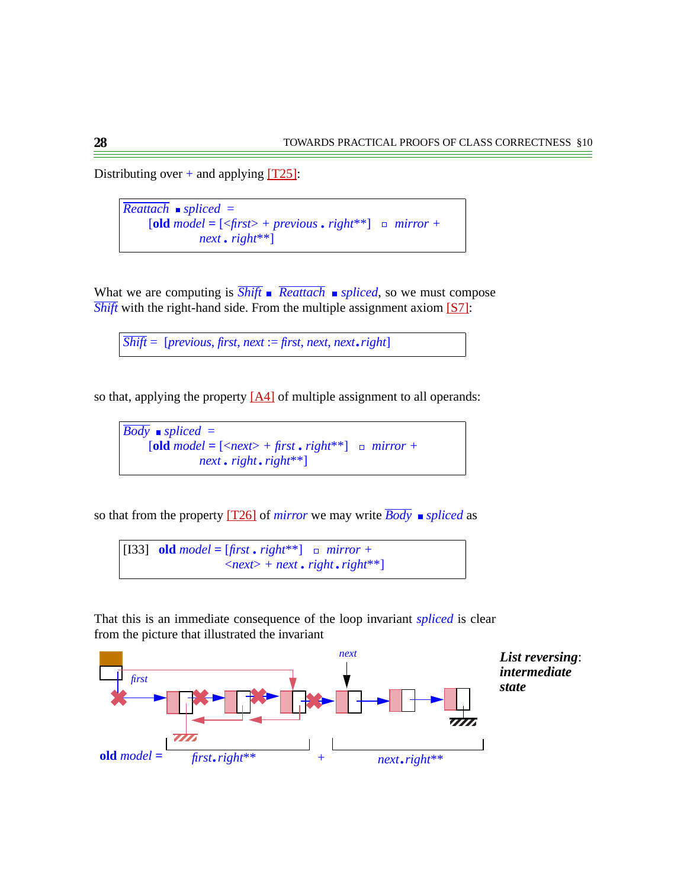Distributing over  $+$  and applying  $[T25]$ :

```
Reattach spliced =
        \lceil \text{old model} \rceil = \lceil \langle \text{first} \rangle + \text{previous} \cdot \text{right}^* \rceil mirror +
                        next . right**]
```
What we are computing is  $\overline{Shift}$  **Reattach spliced**, so we must compose  $\overline{Shift}$  with the right-hand side. From the multiple assignment axiom  $[S7]$ :

```
Shift = [previous, first, next := first, next, next.right]
```
so that, applying the property  $[A4]$  of multiple assignment to all operands:

 $\overline{Body}$  spliced =  $\lceil \text{old model} \rceil = \lceil \langle \text{next} \rangle + \text{first} \cdot \text{right}^* \rceil \quad \text{uniform} + \lceil \text{current} \rceil$ *next* . *right*.*right*\*\*]

so that from the property  $[T26]$  of *mirror* we may write  $\overline{Body}$  spliced as

<span id="page-27-0"></span> $[$ I33 $]$  **old**  $model = [first \cdot right**]$   $\Box$   $mirror +$  $\langle next\rangle + next \cdot right \cdot right^* \rangle$ 

That this is an immediate consequence of the loop invariant *spliced* is clear from the picture that illustrated the invariant

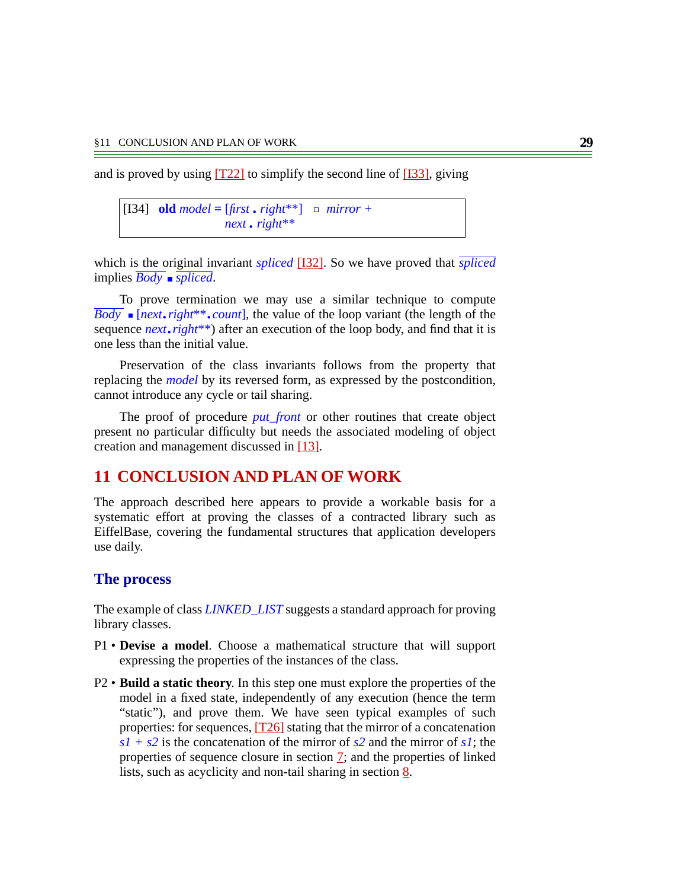and is proved by using [\[T22\]](#page-20-2) to simplify the second line of [\[I33\]](#page-27-0), giving

```
[134] old model = [first \cdot right**] mirror +
                   next . right**
```
which is the original invariant *spliced* [\[I32\]](#page-26-1). So we have proved that *spliced* implies *Body spliced*.

To prove termination we may use a similar technique to compute  $\overline{Body}$  [*next*.*right*\*\*.*count*], the value of the loop variant (the length of the sequence *next*.*right*\*\*) after an execution of the loop body, and find that it is one less than the initial value.

Preservation of the class invariants follows from the property that replacing the *model* by its reversed form, as expressed by the postcondition, cannot introduce any cycle or tail sharing.

The proof of procedure *put\_front* or other routines that create object present no particular difficulty but needs the associated modeling of object creation and management discussed in [\[13\].](#page-32-1)

# **11 CONCLUSION AND PLAN OF WORK**

The approach described here appears to provide a workable basis for a systematic effort at proving the classes of a contracted library such as EiffelBase, covering the fundamental structures that application developers use daily.

#### **The process**

The example of class *LINKED\_LIST* suggests a standard approach for proving library classes.

- <span id="page-28-0"></span>P1 • **Devise a model**. Choose a mathematical structure that will support expressing the properties of the instances of the class.
- <span id="page-28-1"></span>P2 • **Build a static theory**. In this step one must explore the properties of the model in a fixed state, independently of any execution (hence the term "static"), and prove them. We have seen typical examples of such properties: for sequences, [\[T26\]](#page-22-1) stating that the mirror of a concatenation  $s1 + s2$  is the concatenation of the mirror of  $s2$  and the mirror of  $s1$ ; the properties of sequence closure in section [7](#page-19-1); and the properties of linked lists, such as acyclicity and non-tail sharing in section [8.](#page-22-2)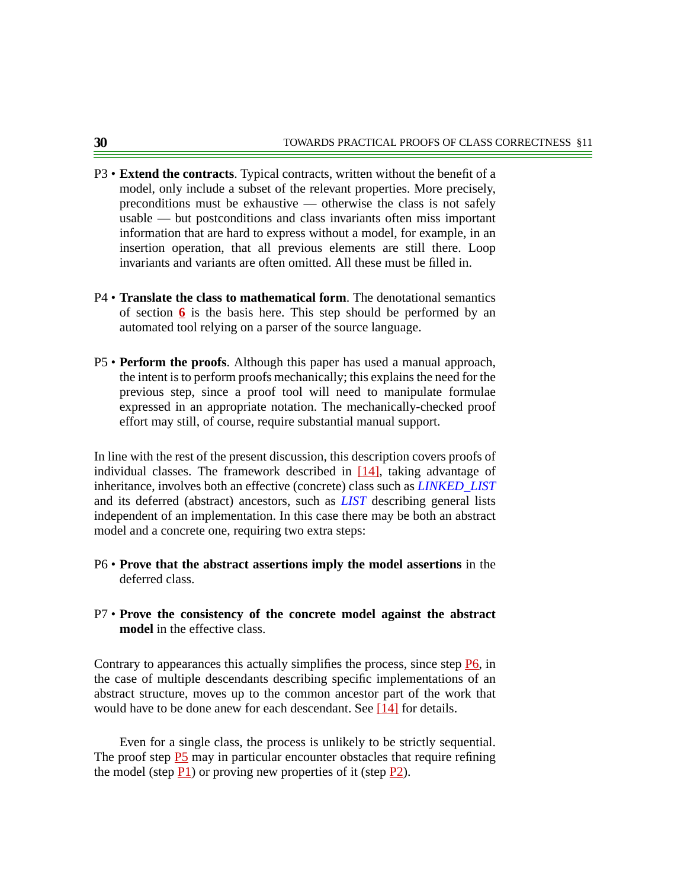- P3 **Extend the contracts**. Typical contracts, written without the benefit of a model, only include a subset of the relevant properties. More precisely, preconditions must be exhaustive — otherwise the class is not safely usable — but postconditions and class invariants often miss important information that are hard to express without a model, for example, in an insertion operation, that all previous elements are still there. Loop invariants and variants are often omitted. All these must be filled in.
- P4 **Translate the class to mathematical form**. The denotational semantics of section **[6](#page-15-10)** is the basis here. This step should be performed by an automated tool relying on a parser of the source language.
- <span id="page-29-0"></span>P5 • **Perform the proofs**. Although this paper has used a manual approach, the intent is to perform proofs mechanically; this explains the need for the previous step, since a proof tool will need to manipulate formulae expressed in an appropriate notation. The mechanically-checked proof effort may still, of course, require substantial manual support.

In line with the rest of the present discussion, this description covers proofs of individual classes. The framework described in [\[14\]](#page-32-6), taking advantage of inheritance, involves both an effective (concrete) class such as *LINKED\_LIST* and its deferred (abstract) ancestors, such as *LIST* describing general lists independent of an implementation. In this case there may be both an abstract model and a concrete one, requiring two extra steps:

- <span id="page-29-1"></span>P6 • **Prove that the abstract assertions imply the model assertions** in the deferred class.
- P7 **Prove the consistency of the concrete model against the abstract model** in the effective class.

Contrary to appearances this actually simplifies the process, since step  $P_6$ , in the case of multiple descendants describing specific implementations of an abstract structure, moves up to the common ancestor part of the work that would have to be done anew for each descendant. See [\[14\]](#page-32-6) for details.

Even for a single class, the process is unlikely to be strictly sequential. The proof step **P[5](#page-29-0)** may in particular encounter obstacles that require refining the model (step  $P1$  $P1$ ) or proving new properties of it (step  $P2$  $P2$ ).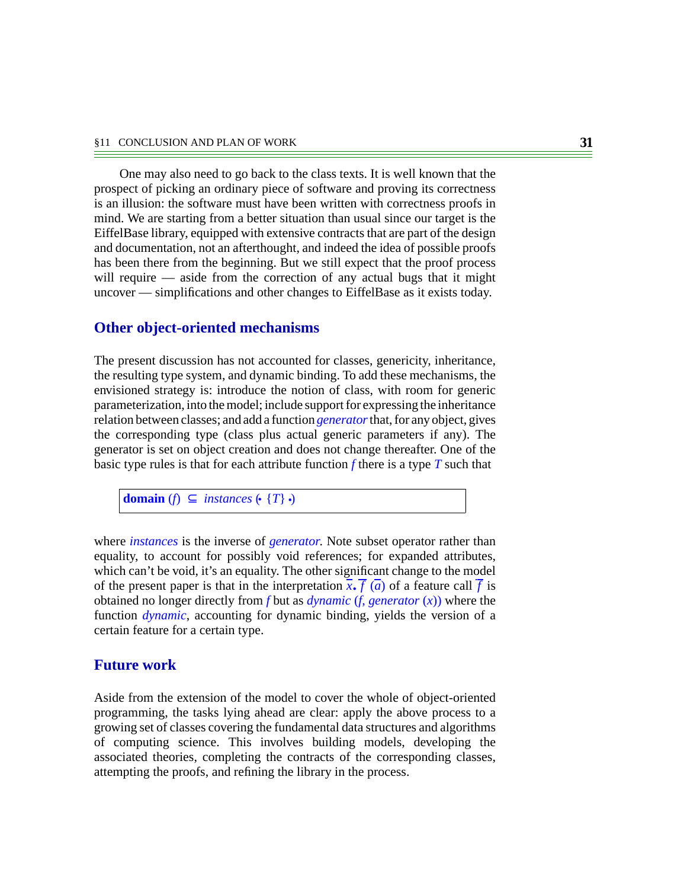One may also need to go back to the class texts. It is well known that the prospect of picking an ordinary piece of software and proving its correctness is an illusion: the software must have been written with correctness proofs in mind. We are starting from a better situation than usual since our target is the EiffelBase library, equipped with extensive contracts that are part of the design and documentation, not an afterthought, and indeed the idea of possible proofs has been there from the beginning. But we still expect that the proof process will require — aside from the correction of any actual bugs that it might uncover — simplifications and other changes to EiffelBase as it exists today.

#### **Other object-oriented mechanisms**

The present discussion has not accounted for classes, genericity, inheritance, the resulting type system, and dynamic binding. To add these mechanisms, the envisioned strategy is: introduce the notion of class, with room for generic parameterization, into the model; include support for expressing the inheritance relation between classes; and add a function *generator*that, for any object, gives the corresponding type (class plus actual generic parameters if any). The generator is set on object creation and does not change thereafter. One of the basic type rules is that for each attribute function *f* there is a type *T* such that

**domain** (*f*)  $\subseteq$  *instances* (• {*T*} •)

where *instances* is the inverse of *generator*. Note subset operator rather than equality, to account for possibly void references; for expanded attributes, which can't be void, it's an equality. The other significant change to the model of the present paper is that in the interpretation  $\overline{x} \cdot \overline{f}(\overline{a})$  of a feature call  $\overline{f}$  is obtained no longer directly from *f* but as *dynamic* (*f*, *generator* (*x*)) where the function *dynamic*, accounting for dynamic binding, yields the version of a certain feature for a certain type.

#### **Future work**

Aside from the extension of the model to cover the whole of object-oriented programming, the tasks lying ahead are clear: apply the above process to a growing set of classes covering the fundamental data structures and algorithms of computing science. This involves building models, developing the associated theories, completing the contracts of the corresponding classes, attempting the proofs, and refining the library in the process.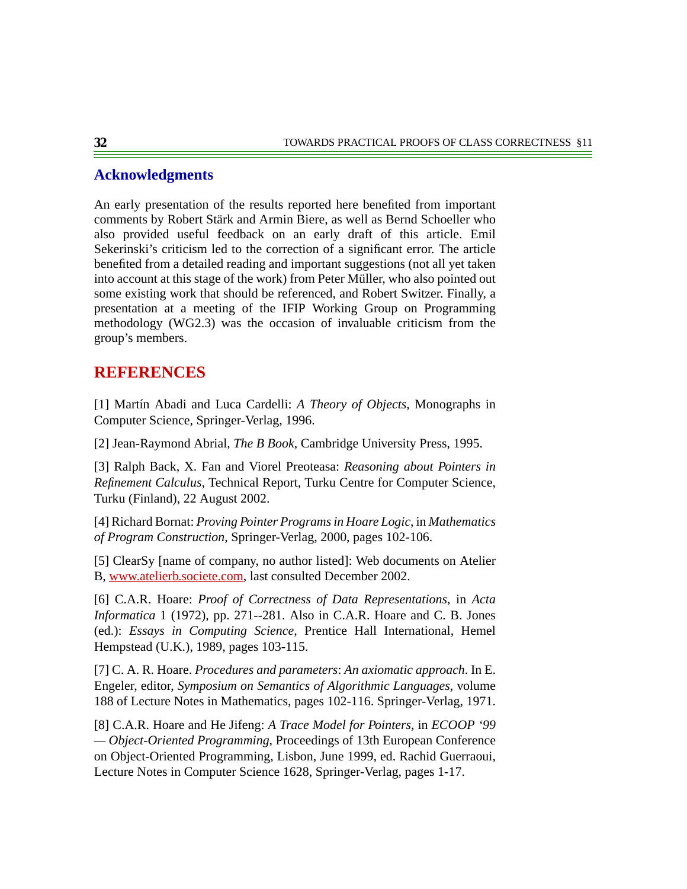#### **Acknowledgments**

An early presentation of the results reported here benefited from important comments by Robert Stärk and Armin Biere, as well as Bernd Schoeller who also provided useful feedback on an early draft of this article. Emil Sekerinski's criticism led to the correction of a significant error. The article benefited from a detailed reading and important suggestions (not all yet taken into account at this stage of the work) from Peter Müller, who also pointed out some existing work that should be referenced, and Robert Switzer. Finally, a presentation at a meeting of the IFIP Working Group on Programming methodology (WG2.3) was the occasion of invaluable criticism from the group's members.

### **REFERENCES**

<span id="page-31-0"></span>[1] Martín Abadi and Luca Cardelli: *A Theory of Objects*, Monographs in Computer Science, Springer-Verlag, 1996.

<span id="page-31-5"></span>[2] Jean-Raymond Abrial, *The B Book*, Cambridge University Press, 1995.

<span id="page-31-1"></span>[3] Ralph Back, X. Fan and Viorel Preoteasa: *Reasoning about Pointers in Refinement Calculus*, Technical Report, Turku Centre for Computer Science, Turku (Finland), 22 August 2002.

<span id="page-31-2"></span>[4] Richard Bornat: *Proving Pointer Programs in Hoare Logic*, in *Mathematics of Program Construction*, Springer-Verlag, 2000, pages 102-106.

<span id="page-31-6"></span>[5] ClearSy [name of company, no author listed]: Web documents on Atelier B, [www.atelierb.societe.com,](http://www.atelierb.societe.com) last consulted December 2002.

<span id="page-31-4"></span>[6] C.A.R. Hoare: *Proof of Correctness of Data Representations*, in *Acta Informatica* 1 (1972), pp. 271--281. Also in C.A.R. Hoare and C. B. Jones (ed.): *Essays in Computing Science*, Prentice Hall International, Hemel Hempstead (U.K.), 1989, pages 103-115.

<span id="page-31-7"></span>[7] C. A. R. Hoare. *Procedures and parameters*: *An axiomatic approach*. In E. Engeler, editor, *Symposium on Semantics of Algorithmic Languages*, volume 188 of Lecture Notes in Mathematics, pages 102-116. Springer-Verlag, 1971.

<span id="page-31-3"></span>[8] C.A.R. Hoare and He Jifeng: *A Trace Model for Pointers*, in *ECOOP '99 — Object-Oriented Programming*, Proceedings of 13th European Conference on Object-Oriented Programming, Lisbon, June 1999, ed. Rachid Guerraoui, Lecture Notes in Computer Science 1628, Springer-Verlag, pages 1-17.